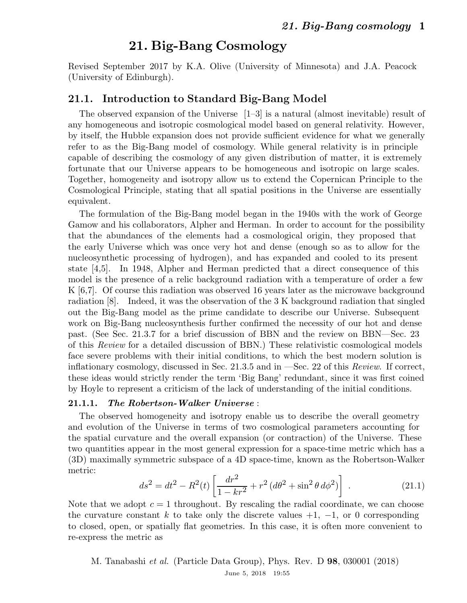Revised September 2017 by K.A. Olive (University of Minnesota) and J.A. Peacock (University of Edinburgh).

## 21.1. Introduction to Standard Big-Bang Model

The observed expansion of the Universe [1–3] is a natural (almost inevitable) result of any homogeneous and isotropic cosmological model based on general relativity. However, by itself, the Hubble expansion does not provide sufficient evidence for what we generally refer to as the Big-Bang model of cosmology. While general relativity is in principle capable of describing the cosmology of any given distribution of matter, it is extremely fortunate that our Universe appears to be homogeneous and isotropic on large scales. Together, homogeneity and isotropy allow us to extend the Copernican Principle to the Cosmological Principle, stating that all spatial positions in the Universe are essentially equivalent.

The formulation of the Big-Bang model began in the 1940s with the work of George Gamow and his collaborators, Alpher and Herman. In order to account for the possibility that the abundances of the elements had a cosmological origin, they proposed that the early Universe which was once very hot and dense (enough so as to allow for the nucleosynthetic processing of hydrogen), and has expanded and cooled to its present state [4,5]. In 1948, Alpher and Herman predicted that a direct consequence of this model is the presence of a relic background radiation with a temperature of order a few K [6,7]. Of course this radiation was observed 16 years later as the microwave background radiation [8]. Indeed, it was the observation of the 3 K background radiation that singled out the Big-Bang model as the prime candidate to describe our Universe. Subsequent work on Big-Bang nucleosynthesis further confirmed the necessity of our hot and dense past. (See Sec. 21.3.7 for a brief discussion of BBN and the review on BBN—Sec. 23 of this *Review* for a detailed discussion of BBN.) These relativistic cosmological models face severe problems with their initial conditions, to which the best modern solution is inflationary cosmology, discussed in Sec. 21.3.5 and in —Sec. 22 of this *Review*. If correct, these ideas would strictly render the term 'Big Bang' redundant, since it was first coined by Hoyle to represent a criticism of the lack of understanding of the initial conditions.

### 21.1.1. The Robertson-Walker Universe :

The observed homogeneity and isotropy enable us to describe the overall geometry and evolution of the Universe in terms of two cosmological parameters accounting for the spatial curvature and the overall expansion (or contraction) of the Universe. These two quantities appear in the most general expression for a space-time metric which has a (3D) maximally symmetric subspace of a 4D space-time, known as the Robertson-Walker metric:

$$
ds^{2} = dt^{2} - R^{2}(t) \left[ \frac{dr^{2}}{1 - kr^{2}} + r^{2} (d\theta^{2} + \sin^{2} \theta d\phi^{2}) \right] .
$$
 (21.1)

Note that we adopt  $c = 1$  throughout. By rescaling the radial coordinate, we can choose the curvature constant k to take only the discrete values  $+1$ ,  $-1$ , or 0 corresponding to closed, open, or spatially flat geometries. In this case, it is often more convenient to re-express the metric as

M. Tanabashi *et al.* (Particle Data Group), Phys. Rev. D 98, 030001 (2018) June 5, 2018 19:55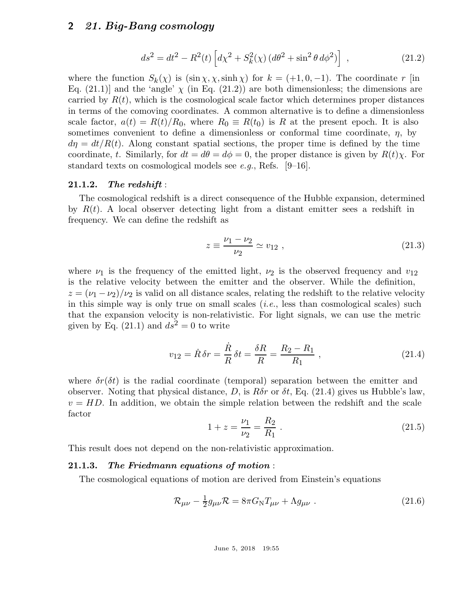$$
ds^{2} = dt^{2} - R^{2}(t) \left[ d\chi^{2} + S_{k}^{2}(\chi) (d\theta^{2} + \sin^{2} \theta d\phi^{2}) \right] ,
$$
 (21.2)

where the function  $S_k(\chi)$  is  $(\sin \chi, \chi, \sinh \chi)$  for  $k = (+1, 0, -1)$ . The coordinate r [in Eq. (21.1)] and the 'angle'  $\chi$  (in Eq. (21.2)) are both dimensionless; the dimensions are carried by  $R(t)$ , which is the cosmological scale factor which determines proper distances in terms of the comoving coordinates. A common alternative is to define a dimensionless scale factor,  $a(t) = R(t)/R_0$ , where  $R_0 \equiv R(t_0)$  is R at the present epoch. It is also sometimes convenient to define a dimensionless or conformal time coordinate,  $\eta$ , by  $d\eta = dt/R(t)$ . Along constant spatial sections, the proper time is defined by the time coordinate, t. Similarly, for  $dt = d\theta = d\phi = 0$ , the proper distance is given by  $R(t)\chi$ . For standard texts on cosmological models see *e.g.*, Refs. [9–16].

### 21.1.2. The redshift :

The cosmological redshift is a direct consequence of the Hubble expansion, determined by  $R(t)$ . A local observer detecting light from a distant emitter sees a redshift in frequency. We can define the redshift as

$$
z \equiv \frac{\nu_1 - \nu_2}{\nu_2} \simeq v_{12} \;, \tag{21.3}
$$

where  $\nu_1$  is the frequency of the emitted light,  $\nu_2$  is the observed frequency and  $\nu_{12}$ is the relative velocity between the emitter and the observer. While the definition,  $z = (\nu_1 - \nu_2)/\nu_2$  is valid on all distance scales, relating the redshift to the relative velocity in this simple way is only true on small scales (*i.e.*, less than cosmological scales) such that the expansion velocity is non-relativistic. For light signals, we can use the metric given by Eq. (21.1) and  $ds^2 = 0$  to write

$$
v_{12} = \dot{R}\,\delta r = \frac{\dot{R}}{R}\,\delta t = \frac{\delta R}{R} = \frac{R_2 - R_1}{R_1} \,,\tag{21.4}
$$

where  $\delta r(\delta t)$  is the radial coordinate (temporal) separation between the emitter and observer. Noting that physical distance, D, is  $R\delta r$  or  $\delta t$ , Eq. (21.4) gives us Hubble's law,  $v = HD$ . In addition, we obtain the simple relation between the redshift and the scale factor

$$
1 + z = \frac{\nu_1}{\nu_2} = \frac{R_2}{R_1} \tag{21.5}
$$

This result does not depend on the non-relativistic approximation.

#### 21.1.3. The Friedmann equations of motion :

The cosmological equations of motion are derived from Einstein's equations

$$
\mathcal{R}_{\mu\nu} - \frac{1}{2}g_{\mu\nu}\mathcal{R} = 8\pi G_{\rm N}T_{\mu\nu} + \Lambda g_{\mu\nu} \tag{21.6}
$$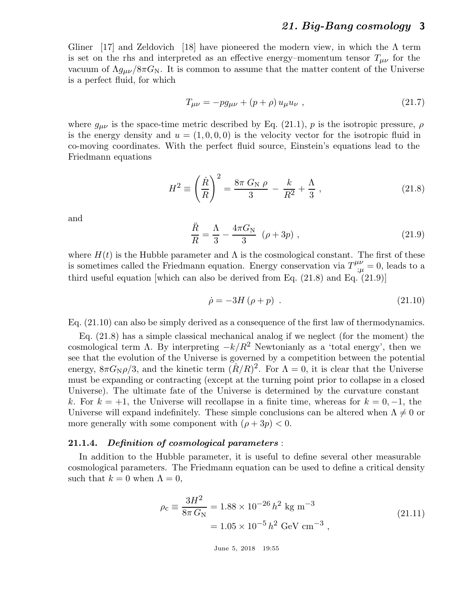Gliner [17] and Zeldovich [18] have pioneered the modern view, in which the  $\Lambda$  term is set on the rhs and interpreted as an effective energy–momentum tensor  $T_{\mu\nu}$  for the vacuum of  $\Lambda g_{\mu\nu}/8\pi G_N$ . It is common to assume that the matter content of the Universe is a perfect fluid, for which

$$
T_{\mu\nu} = -pg_{\mu\nu} + (p+\rho)u_{\mu}u_{\nu} , \qquad (21.7)
$$

where  $g_{\mu\nu}$  is the space-time metric described by Eq. (21.1), p is the isotropic pressure,  $\rho$ is the energy density and  $u = (1, 0, 0, 0)$  is the velocity vector for the isotropic fluid in co-moving coordinates. With the perfect fluid source, Einstein's equations lead to the Friedmann equations

$$
H^{2} \equiv \left(\frac{\dot{R}}{R}\right)^{2} = \frac{8\pi G_{\rm N}\,\rho}{3} - \frac{k}{R^{2}} + \frac{\Lambda}{3} \,, \tag{21.8}
$$

and

$$
\frac{\ddot{R}}{R} = \frac{\Lambda}{3} - \frac{4\pi G_N}{3} \ (\rho + 3p) \ , \tag{21.9}
$$

where  $H(t)$  is the Hubble parameter and  $\Lambda$  is the cosmological constant. The first of these is sometimes called the Friedmann equation. Energy conservation via  $T^{\mu\nu}_{;\mu} = 0$ , leads to a third useful equation [which can also be derived from Eq. (21.8) and Eq. (21.9)]

$$
\dot{\rho} = -3H\left(\rho + p\right) \tag{21.10}
$$

Eq. (21.10) can also be simply derived as a consequence of the first law of thermodynamics.

Eq. (21.8) has a simple classical mechanical analog if we neglect (for the moment) the cosmological term  $\Lambda$ . By interpreting  $-k/R^2$  Newtonianly as a 'total energy', then we see that the evolution of the Universe is governed by a competition between the potential energy,  $8\pi G_{\rm N}\rho/3$ , and the kinetic term  $({\dot R}/R)^2$ . For  $\Lambda=0$ , it is clear that the Universe must be expanding or contracting (except at the turning point prior to collapse in a closed Universe). The ultimate fate of the Universe is determined by the curvature constant k. For  $k = +1$ , the Universe will recollapse in a finite time, whereas for  $k = 0, -1$ , the Universe will expand indefinitely. These simple conclusions can be altered when  $\Lambda \neq 0$  or more generally with some component with  $(\rho + 3p) < 0$ .

#### 21.1.4. Definition of cosmological parameters :

In addition to the Hubble parameter, it is useful to define several other measurable cosmological parameters. The Friedmann equation can be used to define a critical density such that  $k = 0$  when  $\Lambda = 0$ ,

$$
\rho_c \equiv \frac{3H^2}{8\pi G_N} = 1.88 \times 10^{-26} h^2 \text{ kg m}^{-3}
$$
  
=  $1.05 \times 10^{-5} h^2 \text{ GeV cm}^{-3}$ , (21.11)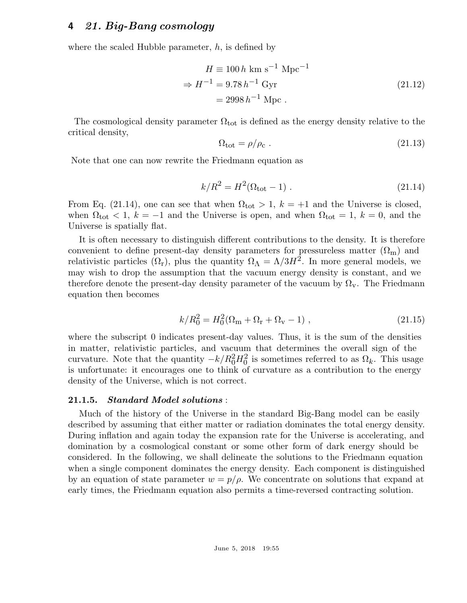where the scaled Hubble parameter,  $h$ , is defined by

$$
H \equiv 100 h \text{ km s}^{-1} \text{ Mpc}^{-1}
$$
  
\n
$$
\Rightarrow H^{-1} = 9.78 h^{-1} \text{ Gyr}
$$
  
\n
$$
= 2998 h^{-1} \text{ Mpc} .
$$
 (21.12)

The cosmological density parameter  $\Omega_{\text{tot}}$  is defined as the energy density relative to the critical density,

$$
\Omega_{\text{tot}} = \rho / \rho_{\text{c}} \tag{21.13}
$$

Note that one can now rewrite the Friedmann equation as

$$
k/R^2 = H^2(\Omega_{\text{tot}} - 1) \tag{21.14}
$$

From Eq. (21.14), one can see that when  $\Omega_{\text{tot}} > 1$ ,  $k = +1$  and the Universe is closed, when  $\Omega_{\text{tot}} < 1, k = -1$  and the Universe is open, and when  $\Omega_{\text{tot}} = 1, k = 0$ , and the Universe is spatially flat.

It is often necessary to distinguish different contributions to the density. It is therefore convenient to define present-day density parameters for pressureless matter  $(\Omega_m)$  and relativistic particles  $(\Omega_r)$ , plus the quantity  $\Omega_\Lambda = \Lambda/3H^2$ . In more general models, we may wish to drop the assumption that the vacuum energy density is constant, and we therefore denote the present-day density parameter of the vacuum by  $\Omega_{\rm v}$ . The Friedmann equation then becomes

$$
k/R_0^2 = H_0^2(\Omega_m + \Omega_r + \Omega_v - 1) ,
$$
\n(21.15)

where the subscript 0 indicates present-day values. Thus, it is the sum of the densities in matter, relativistic particles, and vacuum that determines the overall sign of the curvature. Note that the quantity  $-k/R_0^2H_0^2$  is sometimes referred to as  $\Omega_k$ . This usage is unfortunate: it encourages one to think of curvature as a contribution to the energy density of the Universe, which is not correct.

### 21.1.5. Standard Model solutions :

Much of the history of the Universe in the standard Big-Bang model can be easily described by assuming that either matter or radiation dominates the total energy density. During inflation and again today the expansion rate for the Universe is accelerating, and domination by a cosmological constant or some other form of dark energy should be considered. In the following, we shall delineate the solutions to the Friedmann equation when a single component dominates the energy density. Each component is distinguished by an equation of state parameter  $w = p/\rho$ . We concentrate on solutions that expand at early times, the Friedmann equation also permits a time-reversed contracting solution.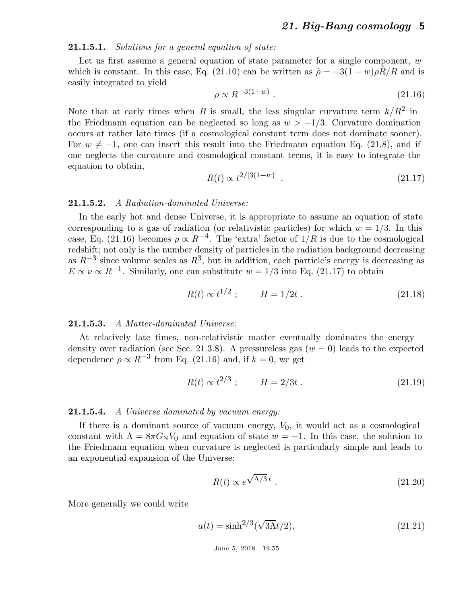#### 21.1.5.1. *Solutions for a general equation of state:*

Let us first assume a general equation of state parameter for a single component,  $w$ which is constant. In this case, Eq. (21.10) can be written as  $\dot{\rho} = -3(1+w)\rho R/R$  and is easily integrated to yield

$$
\rho \propto R^{-3(1+w)} \tag{21.16}
$$

Note that at early times when R is small, the less singular curvature term  $k/R^2$  in the Friedmann equation can be neglected so long as  $w > -1/3$ . Curvature domination occurs at rather late times (if a cosmological constant term does not dominate sooner). For  $w \neq -1$ , one can insert this result into the Friedmann equation Eq. (21.8), and if one neglects the curvature and cosmological constant terms, it is easy to integrate the equation to obtain,

$$
R(t) \propto t^{2/[3(1+w)]} \tag{21.17}
$$

### 21.1.5.2. *A Radiation-dominated Universe:*

In the early hot and dense Universe, it is appropriate to assume an equation of state corresponding to a gas of radiation (or relativistic particles) for which  $w = 1/3$ . In this case, Eq. (21.16) becomes  $\rho \propto R^{-4}$ . The 'extra' factor of  $1/R$  is due to the cosmological redshift; not only is the number density of particles in the radiation background decreasing as  $R^{-3}$  since volume scales as  $R^3$ , but in addition, each particle's energy is decreasing as  $E \propto \nu \propto R^{-1}$ . Similarly, one can substitute  $w = 1/3$  into Eq. (21.17) to obtain

$$
R(t) \propto t^{1/2} \; ; \qquad H = 1/2t \; . \tag{21.18}
$$

#### 21.1.5.3. *A Matter-dominated Universe:*

At relatively late times, non-relativistic matter eventually dominates the energy density over radiation (see Sec. 21.3.8). A pressureless gas  $(w = 0)$  leads to the expected dependence  $\rho \propto R^{-3}$  from Eq. (21.16) and, if  $k = 0$ , we get

$$
R(t) \propto t^{2/3} \; ; \qquad H = 2/3t \; . \tag{21.19}
$$

#### 21.1.5.4. *A Universe dominated by vacuum energy:*

If there is a dominant source of vacuum energy,  $V_0$ , it would act as a cosmological constant with  $\Lambda = 8\pi G_{\rm N}V_0$  and equation of state  $w = -1$ . In this case, the solution to the Friedmann equation when curvature is neglected is particularly simple and leads to an exponential expansion of the Universe:

$$
R(t) \propto e^{\sqrt{\Lambda/3}t} \tag{21.20}
$$

More generally we could write

$$
a(t) = \sinh^{2/3}(\sqrt{3\Lambda}t/2),
$$
\n(21.21)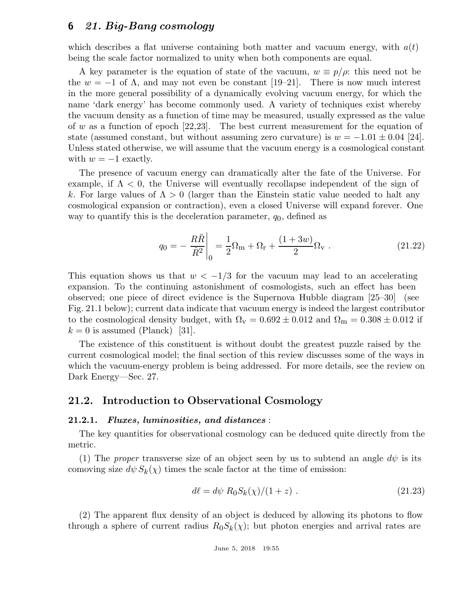which describes a flat universe containing both matter and vacuum energy, with  $a(t)$ being the scale factor normalized to unity when both components are equal.

A key parameter is the equation of state of the vacuum,  $w \equiv p/\rho$ : this need not be the  $w = -1$  of  $\Lambda$ , and may not even be constant [19–21]. There is now much interest in the more general possibility of a dynamically evolving vacuum energy, for which the name 'dark energy' has become commonly used. A variety of techniques exist whereby the vacuum density as a function of time may be measured, usually expressed as the value of w as a function of epoch  $[22,23]$ . The best current measurement for the equation of state (assumed constant, but without assuming zero curvature) is  $w = -1.01 \pm 0.04$  [24]. Unless stated otherwise, we will assume that the vacuum energy is a cosmological constant with  $w = -1$  exactly.

The presence of vacuum energy can dramatically alter the fate of the Universe. For example, if  $\Lambda < 0$ , the Universe will eventually recollapse independent of the sign of k. For large values of  $\Lambda > 0$  (larger than the Einstein static value needed to halt any cosmological expansion or contraction), even a closed Universe will expand forever. One way to quantify this is the deceleration parameter,  $q_0$ , defined as

$$
q_0 = -\frac{R\ddot{R}}{\dot{R}^2}\bigg|_0 = \frac{1}{2}\Omega_m + \Omega_r + \frac{(1+3w)}{2}\Omega_v.
$$
 (21.22)

This equation shows us that  $w < -1/3$  for the vacuum may lead to an accelerating expansion. To the continuing astonishment of cosmologists, such an effect has been observed; one piece of direct evidence is the Supernova Hubble diagram [25–30] (see Fig. 21.1 below); current data indicate that vacuum energy is indeed the largest contributor to the cosmological density budget, with  $\Omega_{\rm v} = 0.692 \pm 0.012$  and  $\Omega_{\rm m} = 0.308 \pm 0.012$  if  $k = 0$  is assumed (Planck) [31].

The existence of this constituent is without doubt the greatest puzzle raised by the current cosmological model; the final section of this review discusses some of the ways in which the vacuum-energy problem is being addressed. For more details, see the review on Dark Energy—Sec. 27.

### 21.2. Introduction to Observational Cosmology

### 21.2.1. Fluxes, luminosities, and distances :

The key quantities for observational cosmology can be deduced quite directly from the metric.

(1) The *proper* transverse size of an object seen by us to subtend an angle  $d\psi$  is its comoving size  $d\psi S_k(\chi)$  times the scale factor at the time of emission:

$$
d\ell = d\psi \ R_0 S_k(\chi)/(1+z) \ . \tag{21.23}
$$

(2) The apparent flux density of an object is deduced by allowing its photons to flow through a sphere of current radius  $R_0S_k(\chi)$ ; but photon energies and arrival rates are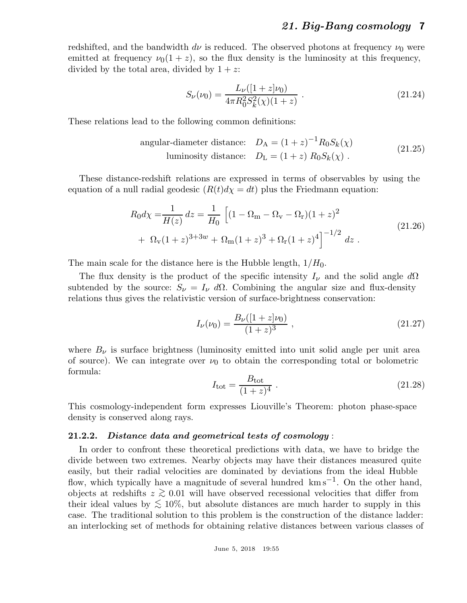redshifted, and the bandwidth dv is reduced. The observed photons at frequency  $\nu_0$  were emitted at frequency  $\nu_0(1+z)$ , so the flux density is the luminosity at this frequency, divided by the total area, divided by  $1 + z$ .

$$
S_{\nu}(\nu_0) = \frac{L_{\nu}([1+z]\nu_0)}{4\pi R_0^2 S_k^2(\chi)(1+z)}.
$$
\n(21.24)

These relations lead to the following common definitions:

angular-diameter distance: 
$$
D_A = (1+z)^{-1} R_0 S_k(\chi)
$$
  
luminosity distance:  $D_L = (1+z) R_0 S_k(\chi)$ . (21.25)

These distance-redshift relations are expressed in terms of observables by using the equation of a null radial geodesic  $(R(t)d\chi = dt)$  plus the Friedmann equation:

$$
R_0 d\chi = \frac{1}{H(z)} dz = \frac{1}{H_0} \left[ (1 - \Omega_{\rm m} - \Omega_{\rm v} - \Omega_{\rm r}) (1 + z)^2 + \Omega_{\rm v} (1 + z)^{3 + 3w} + \Omega_{\rm m} (1 + z)^3 + \Omega_{\rm r} (1 + z)^4 \right]^{-1/2} dz.
$$
\n(21.26)

The main scale for the distance here is the Hubble length,  $1/H_0$ .

The flux density is the product of the specific intensity  $I_{\nu}$  and the solid angle  $d\Omega$ subtended by the source:  $S_{\nu} = I_{\nu} d\Omega$ . Combining the angular size and flux-density relations thus gives the relativistic version of surface-brightness conservation:

$$
I_{\nu}(\nu_0) = \frac{B_{\nu}([1+z]\nu_0)}{(1+z)^3} \,, \tag{21.27}
$$

where  $B_{\nu}$  is surface brightness (luminosity emitted into unit solid angle per unit area of source). We can integrate over  $\nu_0$  to obtain the corresponding total or bolometric formula:

$$
I_{\text{tot}} = \frac{B_{\text{tot}}}{(1+z)^4} \tag{21.28}
$$

This cosmology-independent form expresses Liouville's Theorem: photon phase-space density is conserved along rays.

### 21.2.2. Distance data and geometrical tests of cosmology :

In order to confront these theoretical predictions with data, we have to bridge the divide between two extremes. Nearby objects may have their distances measured quite easily, but their radial velocities are dominated by deviations from the ideal Hubble flow, which typically have a magnitude of several hundred  $km s^{-1}$ . On the other hand, objects at redshifts  $z \ge 0.01$  will have observed recessional velocities that differ from their ideal values by  $\lesssim 10\%$ , but absolute distances are much harder to supply in this case. The traditional solution to this problem is the construction of the distance ladder: an interlocking set of methods for obtaining relative distances between various classes of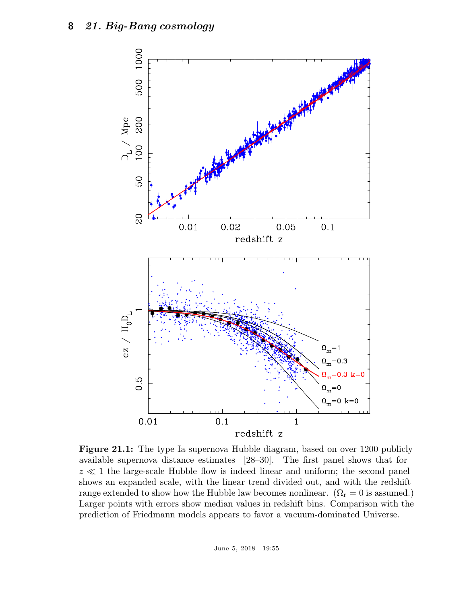

Figure 21.1: The type Ia supernova Hubble diagram, based on over 1200 publicly available supernova distance estimates [28–30]. The first panel shows that for  $z \ll 1$  the large-scale Hubble flow is indeed linear and uniform; the second panel shows an expanded scale, with the linear trend divided out, and with the redshift range extended to show how the Hubble law becomes nonlinear.  $(\Omega_r = 0$  is assumed.) Larger points with errors show median values in redshift bins. Comparison with the prediction of Friedmann models appears to favor a vacuum-dominated Universe.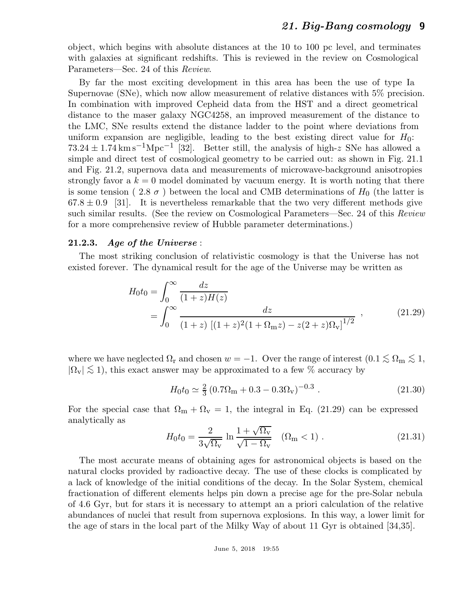object, which begins with absolute distances at the 10 to 100 pc level, and terminates with galaxies at significant redshifts. This is reviewed in the review on Cosmological Parameters—Sec. 24 of this *Review*.

By far the most exciting development in this area has been the use of type Ia Supernovae (SNe), which now allow measurement of relative distances with 5% precision. In combination with improved Cepheid data from the HST and a direct geometrical distance to the maser galaxy NGC4258, an improved measurement of the distance to the LMC, SNe results extend the distance ladder to the point where deviations from uniform expansion are negligible, leading to the best existing direct value for  $H_0$ :  $73.24 \pm 1.74 \,\mathrm{km \, s}^{-1} \,\mathrm{Mpc}^{-1}$  [32]. Better still, the analysis of high-z SNe has allowed a simple and direct test of cosmological geometry to be carried out: as shown in Fig. 21.1 and Fig. 21.2, supernova data and measurements of microwave-background anisotropies strongly favor a  $k = 0$  model dominated by vacuum energy. It is worth noting that there is some tension (2.8  $\sigma$ ) between the local and CMB determinations of  $H_0$  (the latter is  $67.8 \pm 0.9$  [31]. It is nevertheless remarkable that the two very different methods give such similar results. (See the review on Cosmological Parameters—Sec. 24 of this *Review* for a more comprehensive review of Hubble parameter determinations.)

### 21.2.3. Age of the Universe :

The most striking conclusion of relativistic cosmology is that the Universe has not existed forever. The dynamical result for the age of the Universe may be written as

$$
H_0 t_0 = \int_0^\infty \frac{dz}{(1+z)H(z)}
$$
  
= 
$$
\int_0^\infty \frac{dz}{(1+z) [(1+z)^2 (1+\Omega_{\rm m}z) - z(2+z)\Omega_{\rm v}]^{1/2}}
$$
, (21.29)

where we have neglected  $\Omega_r$  and chosen  $w = -1$ . Over the range of interest  $(0.1 \lesssim \Omega_m \lesssim 1,$  $|\Omega_{\rm v}| \lesssim 1$ , this exact answer may be approximated to a few % accuracy by

$$
H_0 t_0 \simeq \frac{2}{3} \left( 0.7 \Omega_{\rm m} + 0.3 - 0.3 \Omega_{\rm v} \right)^{-0.3} . \tag{21.30}
$$

For the special case that  $\Omega_{\rm m} + \Omega_{\rm v} = 1$ , the integral in Eq. (21.29) can be expressed analytically as

$$
H_0 t_0 = \frac{2}{3\sqrt{\Omega_v}} \ln \frac{1 + \sqrt{\Omega_v}}{\sqrt{1 - \Omega_v}} \quad (\Omega_m < 1) \ . \tag{21.31}
$$

The most accurate means of obtaining ages for astronomical objects is based on the natural clocks provided by radioactive decay. The use of these clocks is complicated by a lack of knowledge of the initial conditions of the decay. In the Solar System, chemical fractionation of different elements helps pin down a precise age for the pre-Solar nebula of 4.6 Gyr, but for stars it is necessary to attempt an a priori calculation of the relative abundances of nuclei that result from supernova explosions. In this way, a lower limit for the age of stars in the local part of the Milky Way of about 11 Gyr is obtained [34,35].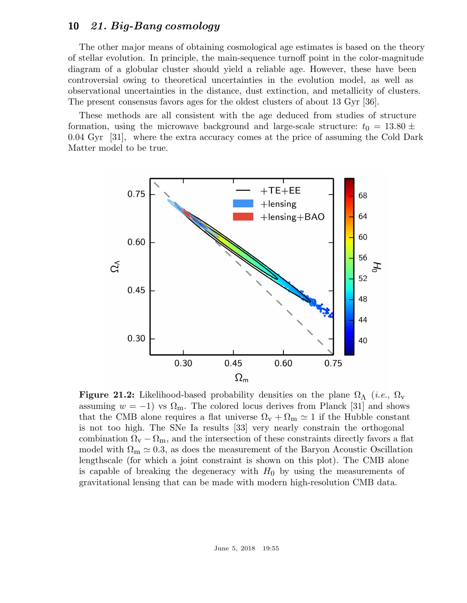The other major means of obtaining cosmological age estimates is based on the theory of stellar evolution. In principle, the main-sequence turnoff point in the color-magnitude diagram of a globular cluster should yield a reliable age. However, these have been controversial owing to theoretical uncertainties in the evolution model, as well as observational uncertainties in the distance, dust extinction, and metallicity of clusters. The present consensus favors ages for the oldest clusters of about 13 Gyr [36].

These methods are all consistent with the age deduced from studies of structure formation, using the microwave background and large-scale structure:  $t_0 = 13.80 \pm 10^{-10}$ 0.04 Gyr [31], where the extra accuracy comes at the price of assuming the Cold Dark Matter model to be true.



**Figure 21.2:** Likelihood-based probability densities on the plane  $\Omega_{\Lambda}$  (*i.e.*,  $\Omega_{\rm v}$ assuming  $w = -1$ ) vs  $\Omega_{\rm m}$ . The colored locus derives from Planck [31] and shows that the CMB alone requires a flat universe  $\Omega_{\rm v} + \Omega_{\rm m} \simeq 1$  if the Hubble constant is not too high. The SNe Ia results [33] very nearly constrain the orthogonal combination  $\Omega_{\rm v} - \Omega_{\rm m}$ , and the intersection of these constraints directly favors a flat model with  $\Omega_{\rm m} \simeq 0.3$ , as does the measurement of the Baryon Acoustic Oscillation lengthscale (for which a joint constraint is shown on this plot). The CMB alone is capable of breaking the degeneracy with  $H_0$  by using the measurements of gravitational lensing that can be made with modern high-resolution CMB data.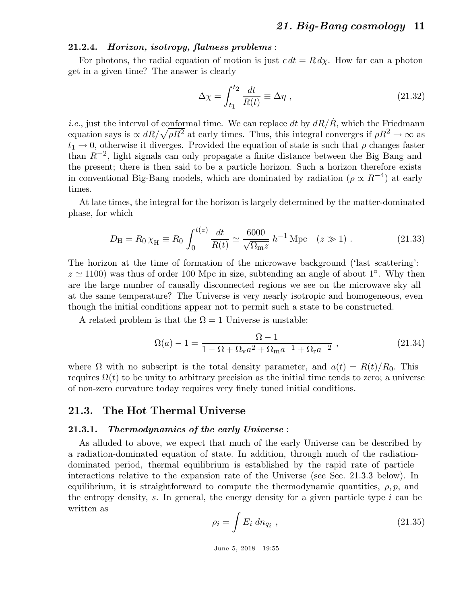#### 21.2.4. Horizon, isotropy, flatness problems :

For photons, the radial equation of motion is just  $c dt = R dy$ . How far can a photon get in a given time? The answer is clearly

$$
\Delta \chi = \int_{t_1}^{t_2} \frac{dt}{R(t)} \equiv \Delta \eta \;, \tag{21.32}
$$

*i.e.*, just the interval of conformal time. We can replace dt by  $dR/\dot{R}$ , which the Friedmann equation says is  $\propto dR/\sqrt{\rho R^2}$  at early times. Thus, this integral converges if  $\rho R^2 \to \infty$  as  $t_1 \rightarrow 0$ , otherwise it diverges. Provided the equation of state is such that  $\rho$  changes faster than  $R^{-2}$ , light signals can only propagate a finite distance between the Big Bang and the present; there is then said to be a particle horizon. Such a horizon therefore exists in conventional Big-Bang models, which are dominated by radiation  $(\rho \propto R^{-4})$  at early times.

At late times, the integral for the horizon is largely determined by the matter-dominated phase, for which

$$
D_{\rm H} = R_0 \chi_{\rm H} \equiv R_0 \int_0^{t(z)} \frac{dt}{R(t)} \simeq \frac{6000}{\sqrt{\Omega_{\rm m} z}} \, h^{-1} \, \text{Mpc} \quad (z \gg 1) \; . \tag{21.33}
$$

The horizon at the time of formation of the microwave background ('last scattering':  $z \simeq 1100$ ) was thus of order 100 Mpc in size, subtending an angle of about 1<sup>°</sup>. Why then are the large number of causally disconnected regions we see on the microwave sky all at the same temperature? The Universe is very nearly isotropic and homogeneous, even though the initial conditions appear not to permit such a state to be constructed.

A related problem is that the  $\Omega = 1$  Universe is unstable:

$$
\Omega(a) - 1 = \frac{\Omega - 1}{1 - \Omega + \Omega_{\mathbf{v}}a^2 + \Omega_{\mathbf{m}}a^{-1} + \Omega_{\mathbf{r}}a^{-2}} ,
$$
\n(21.34)

where  $\Omega$  with no subscript is the total density parameter, and  $a(t) = R(t)/R_0$ . This requires  $\Omega(t)$  to be unity to arbitrary precision as the initial time tends to zero; a universe of non-zero curvature today requires very finely tuned initial conditions.

### 21.3. The Hot Thermal Universe

#### 21.3.1. Thermodynamics of the early Universe :

As alluded to above, we expect that much of the early Universe can be described by a radiation-dominated equation of state. In addition, through much of the radiationdominated period, thermal equilibrium is established by the rapid rate of particle interactions relative to the expansion rate of the Universe (see Sec. 21.3.3 below). In equilibrium, it is straightforward to compute the thermodynamic quantities,  $\rho$ ,  $p$ , and the entropy density, s. In general, the energy density for a given particle type  $i$  can be written as

$$
\rho_i = \int E_i \, dn_{q_i} \tag{21.35}
$$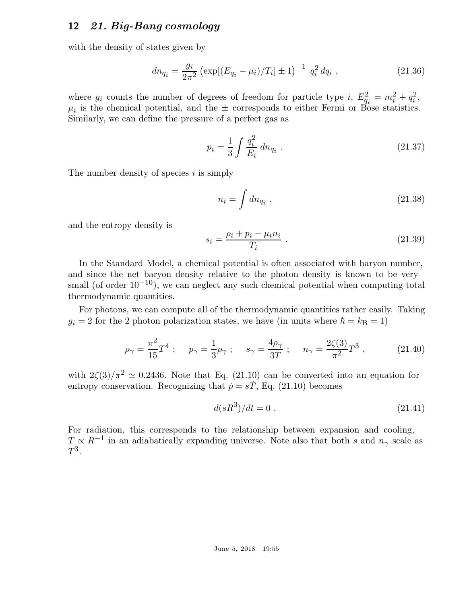with the density of states given by

$$
dn_{q_i} = \frac{g_i}{2\pi^2} \left( \exp[(E_{q_i} - \mu_i)/T_i] \pm 1 \right)^{-1} q_i^2 dq_i , \qquad (21.36)
$$

where  $g_i$  counts the number of degrees of freedom for particle type i,  $E_{q_i}^2 = m_i^2 + q_i^2$  $\frac{2}{i}$  $\mu_i$  is the chemical potential, and the  $\pm$  corresponds to either Fermi or Bose statistics. Similarly, we can define the pressure of a perfect gas as

$$
p_i = \frac{1}{3} \int \frac{q_i^2}{E_i} \, dn_{q_i} \tag{21.37}
$$

The number density of species  $i$  is simply

$$
n_i = \int dn_{q_i} \tag{21.38}
$$

and the entropy density is

$$
s_i = \frac{\rho_i + p_i - \mu_i n_i}{T_i} \tag{21.39}
$$

In the Standard Model, a chemical potential is often associated with baryon number, and since the net baryon density relative to the photon density is known to be very small (of order  $10^{-10}$ ), we can neglect any such chemical potential when computing total thermodynamic quantities.

For photons, we can compute all of the thermodynamic quantities rather easily. Taking  $g_i = 2$  for the 2 photon polarization states, we have (in units where  $\hbar = k_B = 1$ )

$$
\rho_{\gamma} = \frac{\pi^2}{15} T^4 \; ; \quad p_{\gamma} = \frac{1}{3} \rho_{\gamma} \; ; \quad s_{\gamma} = \frac{4\rho_{\gamma}}{3T} \; ; \quad n_{\gamma} = \frac{2\zeta(3)}{\pi^2} T^3 \; , \tag{21.40}
$$

with  $2\zeta(3)/\pi^2 \simeq 0.2436$ . Note that Eq. (21.10) can be converted into an equation for entropy conservation. Recognizing that  $\dot{p} = s\dot{T}$ , Eq. (21.10) becomes

$$
d(sR^3)/dt = 0.
$$
 (21.41)

For radiation, this corresponds to the relationship between expansion and cooling,  $T \propto R^{-1}$  in an adiabatically expanding universe. Note also that both s and  $n<sub>\gamma</sub>$  scale as  $T^3$ .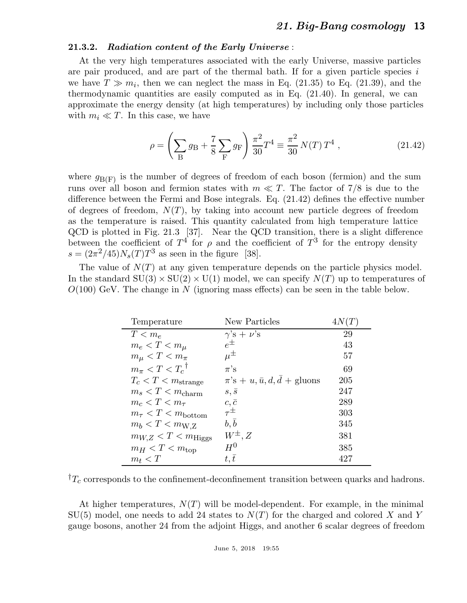### 21.3.2. Radiation content of the Early Universe :

At the very high temperatures associated with the early Universe, massive particles are pair produced, and are part of the thermal bath. If for a given particle species  $i$ we have  $T \gg m_i$ , then we can neglect the mass in Eq. (21.35) to Eq. (21.39), and the thermodynamic quantities are easily computed as in Eq. (21.40). In general, we can approximate the energy density (at high temperatures) by including only those particles with  $m_i \ll T$ . In this case, we have

$$
\rho = \left(\sum_{\rm B} g_{\rm B} + \frac{7}{8} \sum_{\rm F} g_{\rm F}\right) \frac{\pi^2}{30} T^4 \equiv \frac{\pi^2}{30} N(T) T^4 \,,\tag{21.42}
$$

where  $g_{\rm B(F)}$  is the number of degrees of freedom of each boson (fermion) and the sum runs over all boson and fermion states with  $m \ll T$ . The factor of 7/8 is due to the difference between the Fermi and Bose integrals. Eq. (21.42) defines the effective number of degrees of freedom,  $N(T)$ , by taking into account new particle degrees of freedom as the temperature is raised. This quantity calculated from high temperature lattice QCD is plotted in Fig. 21.3 [37]. Near the QCD transition, there is a slight difference between the coefficient of  $T^4$  for  $\rho$  and the coefficient of  $T^3$  for the entropy density  $s = (2\pi^2/45)N_s(T)T^3$  as seen in the figure [38].

The value of  $N(T)$  at any given temperature depends on the particle physics model. In the standard  $SU(3) \times SU(2) \times U(1)$  model, we can specify  $N(T)$  up to temperatures of  $O(100)$  GeV. The change in N (ignoring mass effects) can be seen in the table below.

| Temperature                        | New Particles                                |     |
|------------------------------------|----------------------------------------------|-----|
| $T < m_e$                          | $\gamma$ 's + $\nu$ 's                       | 29  |
| $m_e < T < m_\mu$                  | $e^{\pm}$                                    | 43  |
| $m_{\mu} < T < m_{\pi}$            | $\mu^{\pm}$                                  | 57  |
| $m_{\pi} < T < T_c$ <sup>†</sup>   | $\pi$ 's                                     | 69  |
| $T_c < T < m_{\rm strange}$        | $\pi$ 's + u, $\bar{u}$ , $d$ , $d$ + gluons | 205 |
| $m_s < T < m_{\text{charm}}$       | $s, \bar{s}$                                 | 247 |
| $m_c < T < m_\tau$                 | $c, \bar c$                                  | 289 |
| $m_{\tau} < T < m_{\text{bottom}}$ | $\tau^{\pm}$                                 | 303 |
| $m_b < T < m_{\text{W,Z}}$         | b, b                                         | 345 |
| $m_{W,Z} < T < m_{\text{Higgs}}$   | $W^{\pm},Z$                                  | 381 |
| $m_H < T < m_{\text{top}}$         | $H^0$                                        | 385 |
| $m_t < T$                          | $t,\bar t$                                   | 427 |

 ${}^{\dagger}T_c$  corresponds to the confinement-deconfinement transition between quarks and hadrons.

At higher temperatures,  $N(T)$  will be model-dependent. For example, in the minimal  $SU(5)$  model, one needs to add 24 states to  $N(T)$  for the charged and colored X and Y gauge bosons, another 24 from the adjoint Higgs, and another 6 scalar degrees of freedom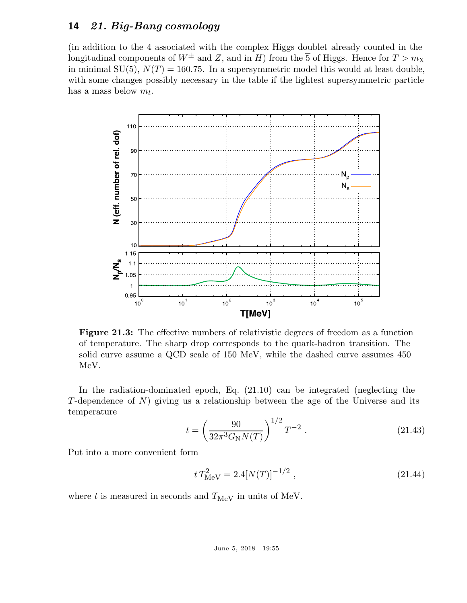(in addition to the 4 associated with the complex Higgs doublet already counted in the longitudinal components of  $W^{\pm}$  and  $Z$ , and in H) from the  $\overline{5}$  of Higgs. Hence for  $T > m_X$ in minimal SU(5),  $N(T) = 160.75$ . In a supersymmetric model this would at least double, with some changes possibly necessary in the table if the lightest supersymmetric particle has a mass below  $m_t$ .



Figure 21.3: The effective numbers of relativistic degrees of freedom as a function of temperature. The sharp drop corresponds to the quark-hadron transition. The solid curve assume a QCD scale of 150 MeV, while the dashed curve assumes 450 MeV.

In the radiation-dominated epoch, Eq. (21.10) can be integrated (neglecting the T-dependence of  $N$ ) giving us a relationship between the age of the Universe and its temperature

$$
t = \left(\frac{90}{32\pi^3 G_\text{N} N(T)}\right)^{1/2} T^{-2} \tag{21.43}
$$

Put into a more convenient form

$$
t T_{\text{MeV}}^2 = 2.4[N(T)]^{-1/2} , \qquad (21.44)
$$

where t is measured in seconds and  $T_{\text{MeV}}$  in units of MeV.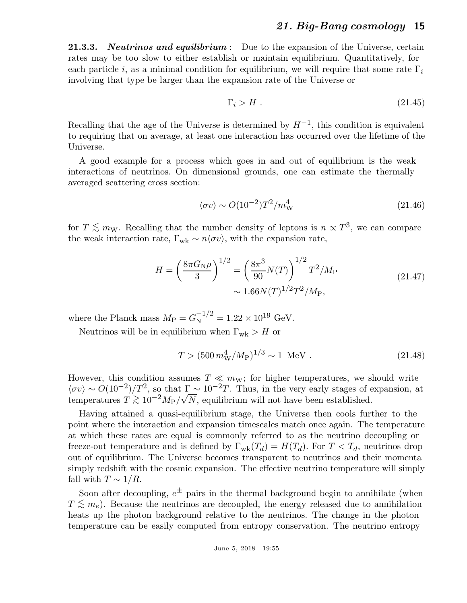**21.3.3.** Neutrinos and equilibrium : Due to the expansion of the Universe, certain rates may be too slow to either establish or maintain equilibrium. Quantitatively, for each particle i, as a minimal condition for equilibrium, we will require that some rate  $\Gamma_i$ involving that type be larger than the expansion rate of the Universe or

$$
\Gamma_i > H \tag{21.45}
$$

Recalling that the age of the Universe is determined by  $H^{-1}$ , this condition is equivalent to requiring that on average, at least one interaction has occurred over the lifetime of the Universe.

A good example for a process which goes in and out of equilibrium is the weak interactions of neutrinos. On dimensional grounds, one can estimate the thermally averaged scattering cross section:

$$
\langle \sigma v \rangle \sim O(10^{-2}) T^2 / m_{\rm W}^4 \tag{21.46}
$$

for  $T \lesssim m_W$ . Recalling that the number density of leptons is  $n \propto T^3$ , we can compare the weak interaction rate,  $\Gamma_{wk} \sim n \langle \sigma v \rangle$ , with the expansion rate,

$$
H = \left(\frac{8\pi G_{\rm N}\rho}{3}\right)^{1/2} = \left(\frac{8\pi^3}{90}N(T)\right)^{1/2}T^2/M_{\rm P}
$$
  
 
$$
\sim 1.66N(T)^{1/2}T^2/M_{\rm P},
$$
 (21.47)

where the Planck mass  $M_{\rm P} = G_N^{-1/2} = 1.22 \times 10^{19}$  GeV.

Neutrinos will be in equilibrium when  $\Gamma_{\text{wk}} > H$  or

$$
T > (500 \, m_{\rm W}^4 / M_{\rm P})^{1/3} \sim 1 \, \text{ MeV} \, . \tag{21.48}
$$

However, this condition assumes  $T \ll m_W$ ; for higher temperatures, we should write  $\langle \sigma v \rangle \sim O(10^{-2})/T^2$ , so that  $\Gamma \sim 10^{-2}T$ . Thus, in the very early stages of expansion, at temperatures  $T \gtrsim 10^{-2} M_{\rm P}/\sqrt{N}$ , equilibrium will not have been established.

Having attained a quasi-equilibrium stage, the Universe then cools further to the point where the interaction and expansion timescales match once again. The temperature at which these rates are equal is commonly referred to as the neutrino decoupling or freeze-out temperature and is defined by  $\Gamma_{wk}(T_d) = H(T_d)$ . For  $T < T_d$ , neutrinos drop out of equilibrium. The Universe becomes transparent to neutrinos and their momenta simply redshift with the cosmic expansion. The effective neutrino temperature will simply fall with  $T \sim 1/R$ .

Soon after decoupling,  $e^{\pm}$  pairs in the thermal background begin to annihilate (when  $T \lesssim m_e$ ). Because the neutrinos are decoupled, the energy released due to annihilation heats up the photon background relative to the neutrinos. The change in the photon temperature can be easily computed from entropy conservation. The neutrino entropy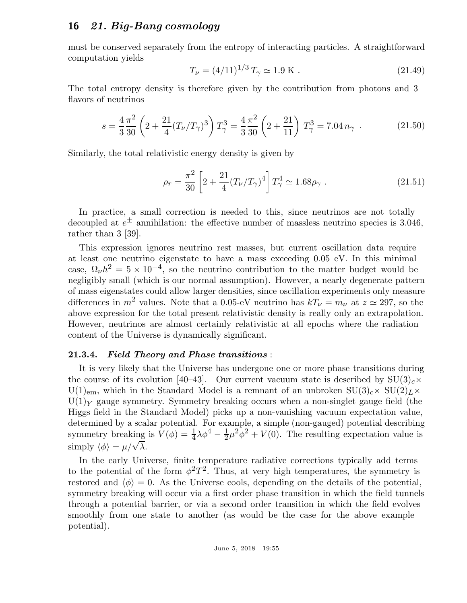must be conserved separately from the entropy of interacting particles. A straightforward computation yields

$$
T_{\nu} = (4/11)^{1/3} T_{\gamma} \simeq 1.9 \text{ K} \,. \tag{21.49}
$$

The total entropy density is therefore given by the contribution from photons and 3 flavors of neutrinos

$$
s = \frac{4\pi^2}{3\,30} \left( 2 + \frac{21}{4} (T_\nu/T_\gamma)^3 \right) T_\gamma^3 = \frac{4\pi^2}{3\,30} \left( 2 + \frac{21}{11} \right) T_\gamma^3 = 7.04 \, n_\gamma \tag{21.50}
$$

Similarly, the total relativistic energy density is given by

$$
\rho_r = \frac{\pi^2}{30} \left[ 2 + \frac{21}{4} (T_\nu/T_\gamma)^4 \right] T_\gamma^4 \simeq 1.68 \rho_\gamma \ . \tag{21.51}
$$

In practice, a small correction is needed to this, since neutrinos are not totally decoupled at  $e^{\pm}$  annihilation: the effective number of massless neutrino species is 3.046, rather than 3 [39].

This expression ignores neutrino rest masses, but current oscillation data require at least one neutrino eigenstate to have a mass exceeding 0.05 eV. In this minimal case,  $\Omega_{\nu}h^2 = 5 \times 10^{-4}$ , so the neutrino contribution to the matter budget would be negligibly small (which is our normal assumption). However, a nearly degenerate pattern of mass eigenstates could allow larger densities, since oscillation experiments only measure differences in  $m^2$  values. Note that a 0.05-eV neutrino has  $kT_{\nu} = m_{\nu}$  at  $z \approx 297$ , so the above expression for the total present relativistic density is really only an extrapolation. However, neutrinos are almost certainly relativistic at all epochs where the radiation content of the Universe is dynamically significant.

### 21.3.4. Field Theory and Phase transitions :

It is very likely that the Universe has undergone one or more phase transitions during the course of its evolution [40–43]. Our current vacuum state is described by  $SU(3)_c \times$  $U(1)_{\text{em}}$ , which in the Standard Model is a remnant of an unbroken  $SU(3)_c \times SU(2)_L \times$  $U(1)_Y$  gauge symmetry. Symmetry breaking occurs when a non-singlet gauge field (the Higgs field in the Standard Model) picks up a non-vanishing vacuum expectation value, determined by a scalar potential. For example, a simple (non-gauged) potential describing symmetry breaking is  $V(\phi) = \frac{1}{4}\lambda\phi^4 - \frac{1}{2}$  $\frac{1}{2}\mu^2\phi^2 + V(0)$ . The resulting expectation value is simply  $\langle \phi \rangle = \mu / \sqrt{\lambda}$ .

In the early Universe, finite temperature radiative corrections typically add terms to the potential of the form  $\phi^2T^2$ . Thus, at very high temperatures, the symmetry is restored and  $\langle \phi \rangle = 0$ . As the Universe cools, depending on the details of the potential, symmetry breaking will occur via a first order phase transition in which the field tunnels through a potential barrier, or via a second order transition in which the field evolves smoothly from one state to another (as would be the case for the above example potential).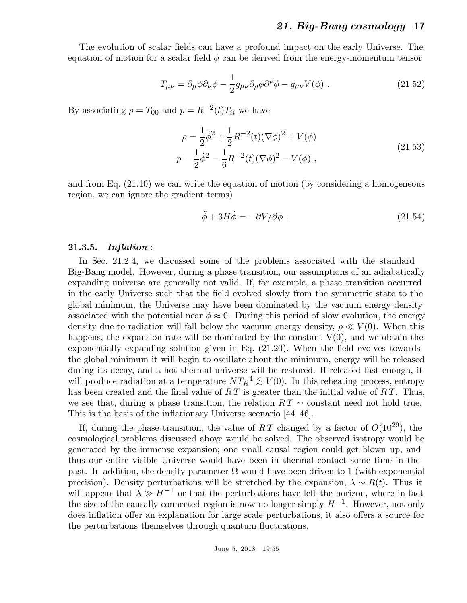The evolution of scalar fields can have a profound impact on the early Universe. The equation of motion for a scalar field  $\phi$  can be derived from the energy-momentum tensor

$$
T_{\mu\nu} = \partial_{\mu}\phi\partial_{\nu}\phi - \frac{1}{2}g_{\mu\nu}\partial_{\rho}\phi\partial^{\rho}\phi - g_{\mu\nu}V(\phi) . \qquad (21.52)
$$

By associating  $\rho = T_{00}$  and  $p = R^{-2}(t)T_{ii}$  we have

$$
\rho = \frac{1}{2}\dot{\phi}^2 + \frac{1}{2}R^{-2}(t)(\nabla\phi)^2 + V(\phi)
$$
  
\n
$$
p = \frac{1}{2}\dot{\phi}^2 - \frac{1}{6}R^{-2}(t)(\nabla\phi)^2 - V(\phi) ,
$$
\n(21.53)

and from Eq. (21.10) we can write the equation of motion (by considering a homogeneous region, we can ignore the gradient terms)

$$
\ddot{\phi} + 3H\dot{\phi} = -\partial V/\partial \phi \tag{21.54}
$$

### 21.3.5. Inflation :

In Sec. 21.2.4, we discussed some of the problems associated with the standard Big-Bang model. However, during a phase transition, our assumptions of an adiabatically expanding universe are generally not valid. If, for example, a phase transition occurred in the early Universe such that the field evolved slowly from the symmetric state to the global minimum, the Universe may have been dominated by the vacuum energy density associated with the potential near  $\phi \approx 0$ . During this period of slow evolution, the energy density due to radiation will fall below the vacuum energy density,  $\rho \ll V(0)$ . When this happens, the expansion rate will be dominated by the constant  $V(0)$ , and we obtain the exponentially expanding solution given in Eq. (21.20). When the field evolves towards the global minimum it will begin to oscillate about the minimum, energy will be released during its decay, and a hot thermal universe will be restored. If released fast enough, it will produce radiation at a temperature  $NT_R^4 \lesssim V(0)$ . In this reheating process, entropy has been created and the final value of  $RT$  is greater than the initial value of  $RT$ . Thus, we see that, during a phase transition, the relation  $RT \sim$  constant need not hold true. This is the basis of the inflationary Universe scenario [44–46].

If, during the phase transition, the value of  $RT$  changed by a factor of  $O(10^{29})$ , the cosmological problems discussed above would be solved. The observed isotropy would be generated by the immense expansion; one small causal region could get blown up, and thus our entire visible Universe would have been in thermal contact some time in the past. In addition, the density parameter  $\Omega$  would have been driven to 1 (with exponential precision). Density perturbations will be stretched by the expansion,  $\lambda \sim R(t)$ . Thus it will appear that  $\lambda \gg H^{-1}$  or that the perturbations have left the horizon, where in fact the size of the causally connected region is now no longer simply  $H^{-1}$ . However, not only does inflation offer an explanation for large scale perturbations, it also offers a source for the perturbations themselves through quantum fluctuations.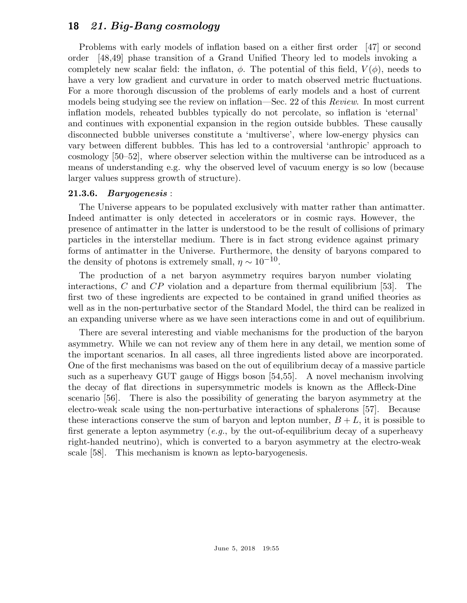Problems with early models of inflation based on a either first order [47] or second order [48,49] phase transition of a Grand Unified Theory led to models invoking a completely new scalar field: the inflaton,  $\phi$ . The potential of this field,  $V(\phi)$ , needs to have a very low gradient and curvature in order to match observed metric fluctuations. For a more thorough discussion of the problems of early models and a host of current models being studying see the review on inflation—Sec. 22 of this *Review*. In most current inflation models, reheated bubbles typically do not percolate, so inflation is 'eternal' and continues with exponential expansion in the region outside bubbles. These causally disconnected bubble universes constitute a 'multiverse', where low-energy physics can vary between different bubbles. This has led to a controversial 'anthropic' approach to cosmology [50–52], where observer selection within the multiverse can be introduced as a means of understanding e.g. why the observed level of vacuum energy is so low (because larger values suppress growth of structure).

### 21.3.6. Baryogenesis :

The Universe appears to be populated exclusively with matter rather than antimatter. Indeed antimatter is only detected in accelerators or in cosmic rays. However, the presence of antimatter in the latter is understood to be the result of collisions of primary particles in the interstellar medium. There is in fact strong evidence against primary forms of antimatter in the Universe. Furthermore, the density of baryons compared to the density of photons is extremely small,  $\eta \sim 10^{-10}$ .

The production of a net baryon asymmetry requires baryon number violating interactions, C and  $\overline{CP}$  violation and a departure from thermal equilibrium [53]. The first two of these ingredients are expected to be contained in grand unified theories as well as in the non-perturbative sector of the Standard Model, the third can be realized in an expanding universe where as we have seen interactions come in and out of equilibrium.

There are several interesting and viable mechanisms for the production of the baryon asymmetry. While we can not review any of them here in any detail, we mention some of the important scenarios. In all cases, all three ingredients listed above are incorporated. One of the first mechanisms was based on the out of equilibrium decay of a massive particle such as a superheavy GUT gauge of Higgs boson [54,55]. A novel mechanism involving the decay of flat directions in supersymmetric models is known as the Affleck-Dine scenario [56]. There is also the possibility of generating the baryon asymmetry at the electro-weak scale using the non-perturbative interactions of sphalerons [57]. Because these interactions conserve the sum of baryon and lepton number,  $B + L$ , it is possible to first generate a lepton asymmetry (*e.g.*, by the out-of-equilibrium decay of a superheavy right-handed neutrino), which is converted to a baryon asymmetry at the electro-weak scale [58]. This mechanism is known as lepto-baryogenesis.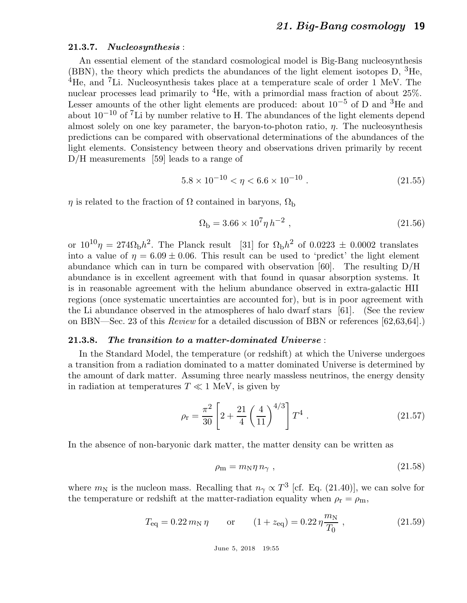#### 21.3.7. Nucleosynthesis :

An essential element of the standard cosmological model is Big-Bang nucleosynthesis (BBN), the theory which predicts the abundances of the light element isotopes  $D$ , <sup>3</sup>He,  $^{4}$ He, and <sup>7</sup>Li. Nucleosynthesis takes place at a temperature scale of order 1 MeV. The nuclear processes lead primarily to  ${}^{4}$ He, with a primordial mass fraction of about 25%. Lesser amounts of the other light elements are produced: about  $10^{-5}$  of D and <sup>3</sup>He and about 10−<sup>10</sup> of <sup>7</sup>Li by number relative to H. The abundances of the light elements depend almost solely on one key parameter, the baryon-to-photon ratio,  $\eta$ . The nucleosynthesis predictions can be compared with observational determinations of the abundances of the light elements. Consistency between theory and observations driven primarily by recent D/H measurements [59] leads to a range of

$$
5.8 \times 10^{-10} < \eta < 6.6 \times 10^{-10} \tag{21.55}
$$

 $\eta$  is related to the fraction of  $\Omega$  contained in baryons,  $\Omega_{\rm b}$ 

$$
\Omega_{\rm b} = 3.66 \times 10^7 \eta \, h^{-2} \tag{21.56}
$$

or  $10^{10}\eta = 274\Omega_{\rm b}h^2$ . The Planck result [31] for  $\Omega_{\rm b}h^2$  of  $0.0223 \pm 0.0002$  translates into a value of  $\eta = 6.09 \pm 0.06$ . This result can be used to 'predict' the light element abundance which can in turn be compared with observation [60]. The resulting D/H abundance is in excellent agreement with that found in quasar absorption systems. It is in reasonable agreement with the helium abundance observed in extra-galactic HII regions (once systematic uncertainties are accounted for), but is in poor agreement with the Li abundance observed in the atmospheres of halo dwarf stars [61]. (See the review on BBN—Sec. 23 of this *Review* for a detailed discussion of BBN or references [62,63,64].)

#### 21.3.8. The transition to a matter-dominated Universe :

In the Standard Model, the temperature (or redshift) at which the Universe undergoes a transition from a radiation dominated to a matter dominated Universe is determined by the amount of dark matter. Assuming three nearly massless neutrinos, the energy density in radiation at temperatures  $T \ll 1$  MeV, is given by

$$
\rho_{\rm r} = \frac{\pi^2}{30} \left[ 2 + \frac{21}{4} \left( \frac{4}{11} \right)^{4/3} \right] T^4 \ . \tag{21.57}
$$

In the absence of non-baryonic dark matter, the matter density can be written as

$$
\rho_{\rm m} = m_{\rm N} \eta \, n_{\gamma} \tag{21.58}
$$

where  $m_N$  is the nucleon mass. Recalling that  $n_\gamma \propto T^3$  [cf. Eq. (21.40)], we can solve for the temperature or redshift at the matter-radiation equality when  $\rho_r = \rho_m$ ,

$$
T_{\text{eq}} = 0.22 \, m_{\text{N}} \, \eta \qquad \text{or} \qquad (1 + z_{\text{eq}}) = 0.22 \, \eta \frac{m_{\text{N}}}{T_0} \,, \tag{21.59}
$$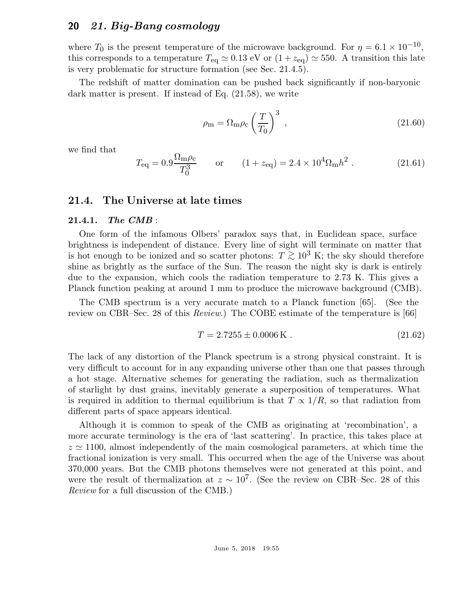where  $T_0$  is the present temperature of the microwave background. For  $\eta = 6.1 \times 10^{-10}$ , this corresponds to a temperature  $T_{eq} \simeq 0.13$  eV or  $(1+z_{eq}) \simeq 550$ . A transition this late is very problematic for structure formation (see Sec. 21.4.5).

The redshift of matter domination can be pushed back significantly if non-baryonic dark matter is present. If instead of Eq. (21.58), we write

$$
\rho_{\rm m} = \Omega_{\rm m}\rho_{\rm c} \left(\frac{T}{T_0}\right)^3 \,,\tag{21.60}
$$

we find that

$$
T_{\text{eq}} = 0.9 \frac{\Omega_{\text{m}} \rho_{\text{c}}}{T_0^3} \qquad \text{or} \qquad (1 + z_{\text{eq}}) = 2.4 \times 10^4 \Omega_{\text{m}} h^2 \ . \tag{21.61}
$$

## 21.4. The Universe at late times

### 21.4.1. The CMB :

One form of the infamous Olbers' paradox says that, in Euclidean space, surface brightness is independent of distance. Every line of sight will terminate on matter that is hot enough to be ionized and so scatter photons:  $T \gtrsim 10^3$  K; the sky should therefore shine as brightly as the surface of the Sun. The reason the night sky is dark is entirely due to the expansion, which cools the radiation temperature to 2.73 K. This gives a Planck function peaking at around 1 mm to produce the microwave background (CMB).

The CMB spectrum is a very accurate match to a Planck function [65]. (See the review on CBR–Sec. 28 of this *Review*.) The COBE estimate of the temperature is [66]

$$
T = 2.7255 \pm 0.0006 \,\mathrm{K} \,. \tag{21.62}
$$

The lack of any distortion of the Planck spectrum is a strong physical constraint. It is very difficult to account for in any expanding universe other than one that passes through a hot stage. Alternative schemes for generating the radiation, such as thermalization of starlight by dust grains, inevitably generate a superposition of temperatures. What is required in addition to thermal equilibrium is that  $T \propto 1/R$ , so that radiation from different parts of space appears identical.

Although it is common to speak of the CMB as originating at 'recombination', a more accurate terminology is the era of 'last scattering'. In practice, this takes place at  $z \approx 1100$ , almost independently of the main cosmological parameters, at which time the fractional ionization is very small. This occurred when the age of the Universe was about 370,000 years. But the CMB photons themselves were not generated at this point, and were the result of thermalization at  $z \sim 10^7$ . (See the review on CBR–Sec. 28 of this *Review* for a full discussion of the CMB.)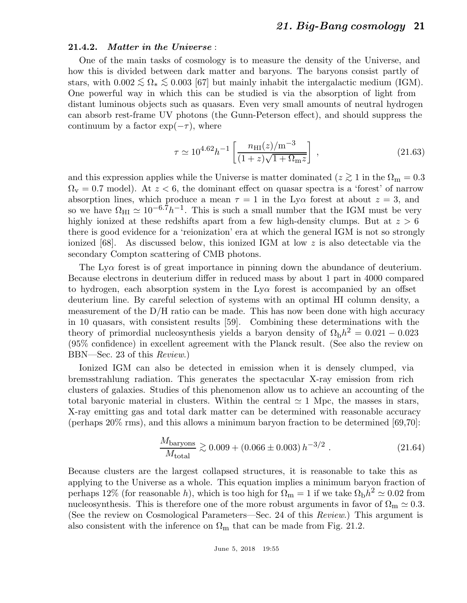### 21.4.2. Matter in the Universe :

One of the main tasks of cosmology is to measure the density of the Universe, and how this is divided between dark matter and baryons. The baryons consist partly of stars, with  $0.002 \lesssim \Omega_* \lesssim 0.003$  [67] but mainly inhabit the intergalactic medium (IGM). One powerful way in which this can be studied is via the absorption of light from distant luminous objects such as quasars. Even very small amounts of neutral hydrogen can absorb rest-frame UV photons (the Gunn-Peterson effect), and should suppress the continuum by a factor  $\exp(-\tau)$ , where

$$
\tau \simeq 10^{4.62} h^{-1} \left[ \frac{n_{\rm HI}(z)/\rm m^{-3}}{(1+z)\sqrt{1+\Omega_{\rm m}z}} \right] , \qquad (21.63)
$$

and this expression applies while the Universe is matter dominated ( $z \gtrsim 1$  in the  $\Omega_{\rm m} = 0.3$  $\Omega_{\rm v} = 0.7$  model). At  $z < 6$ , the dominant effect on quasar spectra is a 'forest' of narrow absorption lines, which produce a mean  $\tau = 1$  in the Ly $\alpha$  forest at about  $z = 3$ , and so we have  $\Omega_{\text{HI}} \simeq 10^{-6.7} h^{-1}$ . This is such a small number that the IGM must be very highly ionized at these redshifts apart from a few high-density clumps. But at  $z > 6$ there is good evidence for a 'reionization' era at which the general IGM is not so strongly ionized [68]. As discussed below, this ionized IGM at low  $z$  is also detectable via the secondary Compton scattering of CMB photons.

The  $Ly\alpha$  forest is of great importance in pinning down the abundance of deuterium. Because electrons in deuterium differ in reduced mass by about 1 part in 4000 compared to hydrogen, each absorption system in the  $Ly\alpha$  forest is accompanied by an offset deuterium line. By careful selection of systems with an optimal HI column density, a measurement of the D/H ratio can be made. This has now been done with high accuracy in 10 quasars, with consistent results [59]. Combining these determinations with the theory of primordial nucleosynthesis yields a baryon density of  $\Omega_{\rm b}h^2 = 0.021 - 0.023$ (95% confidence) in excellent agreement with the Planck result. (See also the review on BBN—Sec. 23 of this *Review*.)

Ionized IGM can also be detected in emission when it is densely clumped, via bremsstrahlung radiation. This generates the spectacular X-ray emission from rich clusters of galaxies. Studies of this phenomenon allow us to achieve an accounting of the total baryonic material in clusters. Within the central  $\simeq$  1 Mpc, the masses in stars, X-ray emitting gas and total dark matter can be determined with reasonable accuracy (perhaps 20% rms), and this allows a minimum baryon fraction to be determined [69,70]:

$$
\frac{M_{\text{baryons}}}{M_{\text{total}}} \gtrsim 0.009 + (0.066 \pm 0.003) h^{-3/2} . \qquad (21.64)
$$

Because clusters are the largest collapsed structures, it is reasonable to take this as applying to the Universe as a whole. This equation implies a minimum baryon fraction of perhaps 12% (for reasonable h), which is too high for  $\Omega_{\rm m} = 1$  if we take  $\Omega_{\rm b} h^2 \simeq 0.02$  from nucleosynthesis. This is therefore one of the more robust arguments in favor of  $\Omega_m \simeq 0.3$ . (See the review on Cosmological Parameters—Sec. 24 of this *Review*.) This argument is also consistent with the inference on  $\Omega_{\rm m}$  that can be made from Fig. 21.2.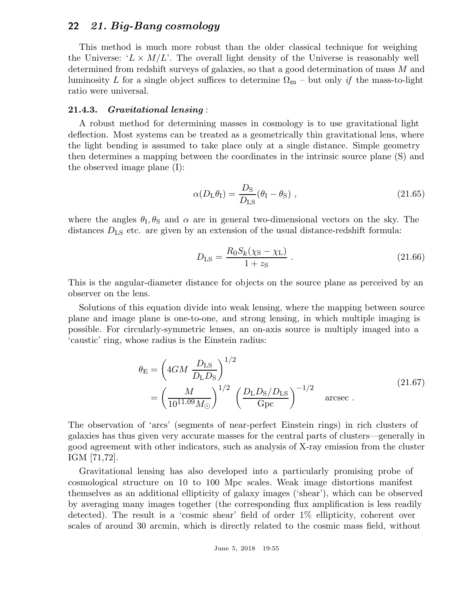This method is much more robust than the older classical technique for weighing the Universe: ' $L \times M/L$ '. The overall light density of the Universe is reasonably well determined from redshift surveys of galaxies, so that a good determination of mass M and luminosity L for a single object suffices to determine  $\Omega_{\rm m}$  – but only *if* the mass-to-light ratio were universal.

### 21.4.3. Gravitational lensing :

A robust method for determining masses in cosmology is to use gravitational light deflection. Most systems can be treated as a geometrically thin gravitational lens, where the light bending is assumed to take place only at a single distance. Simple geometry then determines a mapping between the coordinates in the intrinsic source plane (S) and the observed image plane (I):

$$
\alpha(D_{\rm L}\theta_{\rm I}) = \frac{D_{\rm S}}{D_{\rm LS}}(\theta_{\rm I} - \theta_{\rm S}) \tag{21.65}
$$

where the angles  $\theta_{\text{I}}, \theta_{\text{S}}$  and  $\alpha$  are in general two-dimensional vectors on the sky. The distances  $D_{LS}$  etc. are given by an extension of the usual distance-redshift formula:

$$
D_{\rm LS} = \frac{R_0 S_k (\chi_{\rm S} - \chi_{\rm L})}{1 + z_{\rm S}} \,. \tag{21.66}
$$

This is the angular-diameter distance for objects on the source plane as perceived by an observer on the lens.

Solutions of this equation divide into weak lensing, where the mapping between source plane and image plane is one-to-one, and strong lensing, in which multiple imaging is possible. For circularly-symmetric lenses, an on-axis source is multiply imaged into a 'caustic' ring, whose radius is the Einstein radius:

$$
\theta_{\rm E} = \left(4GM \frac{D_{\rm LS}}{D_{\rm L}D_{\rm S}}\right)^{1/2} = \left(\frac{M}{10^{11.09}M_{\odot}}\right)^{1/2} \left(\frac{D_{\rm L}D_{\rm S}/D_{\rm LS}}{\rm Gpc}\right)^{-1/2} \quad \text{arcsec} \,.
$$
\n(21.67)

The observation of 'arcs' (segments of near-perfect Einstein rings) in rich clusters of galaxies has thus given very accurate masses for the central parts of clusters—generally in good agreement with other indicators, such as analysis of X-ray emission from the cluster IGM [71,72].

Gravitational lensing has also developed into a particularly promising probe of cosmological structure on 10 to 100 Mpc scales. Weak image distortions manifest themselves as an additional ellipticity of galaxy images ('shear'), which can be observed by averaging many images together (the corresponding flux amplification is less readily detected). The result is a 'cosmic shear' field of order 1% ellipticity, coherent over scales of around 30 arcmin, which is directly related to the cosmic mass field, without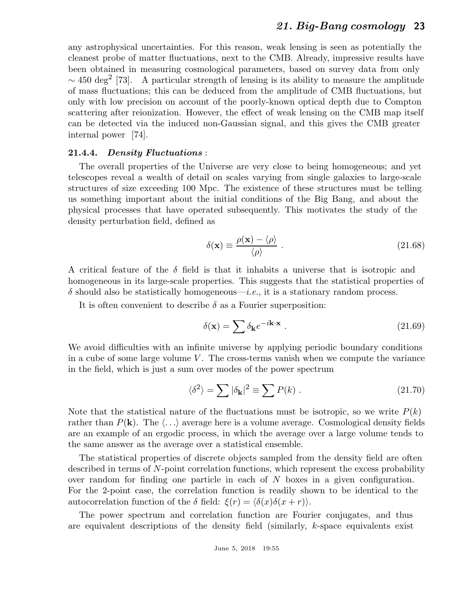any astrophysical uncertainties. For this reason, weak lensing is seen as potentially the cleanest probe of matter fluctuations, next to the CMB. Already, impressive results have been obtained in measuring cosmological parameters, based on survey data from only  $\sim$  450 deg<sup>2</sup> [73]. A particular strength of lensing is its ability to measure the amplitude of mass fluctuations; this can be deduced from the amplitude of CMB fluctuations, but only with low precision on account of the poorly-known optical depth due to Compton scattering after reionization. However, the effect of weak lensing on the CMB map itself can be detected via the induced non-Gaussian signal, and this gives the CMB greater internal power [74].

### 21.4.4. Density Fluctuations :

The overall properties of the Universe are very close to being homogeneous; and yet telescopes reveal a wealth of detail on scales varying from single galaxies to large-scale structures of size exceeding 100 Mpc. The existence of these structures must be telling us something important about the initial conditions of the Big Bang, and about the physical processes that have operated subsequently. This motivates the study of the density perturbation field, defined as

$$
\delta(\mathbf{x}) \equiv \frac{\rho(\mathbf{x}) - \langle \rho \rangle}{\langle \rho \rangle} \ . \tag{21.68}
$$

A critical feature of the  $\delta$  field is that it inhabits a universe that is isotropic and homogeneous in its large-scale properties. This suggests that the statistical properties of  $\delta$  should also be statistically homogeneous—*i.e.*, it is a stationary random process.

It is often convenient to describe  $\delta$  as a Fourier superposition:

$$
\delta(\mathbf{x}) = \sum \delta_{\mathbf{k}} e^{-i\mathbf{k}\cdot\mathbf{x}} \tag{21.69}
$$

We avoid difficulties with an infinite universe by applying periodic boundary conditions in a cube of some large volume  $V$ . The cross-terms vanish when we compute the variance in the field, which is just a sum over modes of the power spectrum

$$
\langle \delta^2 \rangle = \sum |\delta_{\mathbf{k}}|^2 \equiv \sum P(k) \ . \tag{21.70}
$$

Note that the statistical nature of the fluctuations must be isotropic, so we write  $P(k)$ rather than  $P(\mathbf{k})$ . The  $\langle \ldots \rangle$  average here is a volume average. Cosmological density fields are an example of an ergodic process, in which the average over a large volume tends to the same answer as the average over a statistical ensemble.

The statistical properties of discrete objects sampled from the density field are often described in terms of N-point correlation functions, which represent the excess probability over random for finding one particle in each of  $N$  boxes in a given configuration. For the 2-point case, the correlation function is readily shown to be identical to the autocorrelation function of the  $\delta$  field:  $\xi(r) = \langle \delta(x)\delta(x + r)\rangle$ .

The power spectrum and correlation function are Fourier conjugates, and thus are equivalent descriptions of the density field (similarly, k-space equivalents exist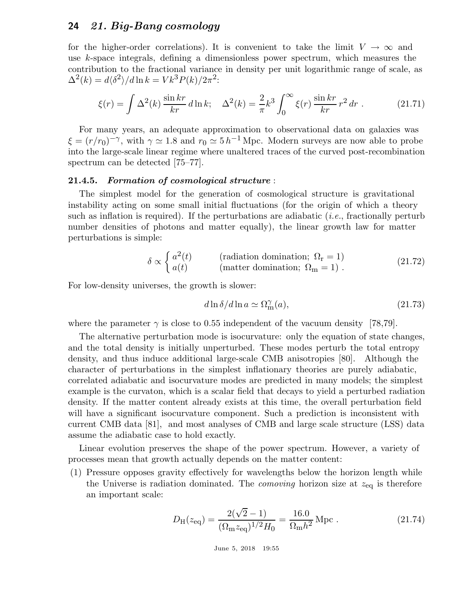for the higher-order correlations). It is convenient to take the limit  $V \to \infty$  and use  $k$ -space integrals, defining a dimensionless power spectrum, which measures the contribution to the fractional variance in density per unit logarithmic range of scale, as  $\Delta^2(k) = d\langle \delta^2 \rangle / d \ln k = V k^3 P(k) / 2\pi^2$ :

$$
\xi(r) = \int \Delta^2(k) \frac{\sin kr}{kr} \, d\ln k; \quad \Delta^2(k) = \frac{2}{\pi} k^3 \int_0^\infty \xi(r) \, \frac{\sin kr}{kr} \, r^2 \, dr \; . \tag{21.71}
$$

For many years, an adequate approximation to observational data on galaxies was  $\xi = (r/r_0)^{-\gamma}$ , with  $\gamma \simeq 1.8$  and  $r_0 \simeq 5 h^{-1}$  Mpc. Modern surveys are now able to probe into the large-scale linear regime where unaltered traces of the curved post-recombination spectrum can be detected [75–77].

#### 21.4.5. Formation of cosmological structure :

The simplest model for the generation of cosmological structure is gravitational instability acting on some small initial fluctuations (for the origin of which a theory such as inflation is required). If the perturbations are adiabatic (*i.e.*, fractionally perturb number densities of photons and matter equally), the linear growth law for matter perturbations is simple:

$$
\delta \propto \begin{cases}\n a^2(t) & \text{(radiation domination; }\Omega_{\rm r}=1) \\
a(t) & \text{(matter domination; }\Omega_{\rm m}=1)\n\end{cases}
$$
\n(21.72)

For low-density universes, the growth is slower:

$$
d\ln \delta/d\ln a \simeq \Omega_{\rm m}^{\gamma}(a),\tag{21.73}
$$

where the parameter  $\gamma$  is close to 0.55 independent of the vacuum density [78,79].

The alternative perturbation mode is isocurvature: only the equation of state changes, and the total density is initially unperturbed. These modes perturb the total entropy density, and thus induce additional large-scale CMB anisotropies [80]. Although the character of perturbations in the simplest inflationary theories are purely adiabatic, correlated adiabatic and isocurvature modes are predicted in many models; the simplest example is the curvaton, which is a scalar field that decays to yield a perturbed radiation density. If the matter content already exists at this time, the overall perturbation field will have a significant isocurvature component. Such a prediction is inconsistent with current CMB data [81], and most analyses of CMB and large scale structure (LSS) data assume the adiabatic case to hold exactly.

Linear evolution preserves the shape of the power spectrum. However, a variety of processes mean that growth actually depends on the matter content:

(1) Pressure opposes gravity effectively for wavelengths below the horizon length while the Universe is radiation dominated. The *comoving* horizon size at  $z_{eq}$  is therefore an important scale:

$$
D_{\rm H}(z_{\rm eq}) = \frac{2(\sqrt{2} - 1)}{(\Omega_{\rm m} z_{\rm eq})^{1/2} H_0} = \frac{16.0}{\Omega_{\rm m} h^2} \,\text{Mpc} \,.
$$
 (21.74)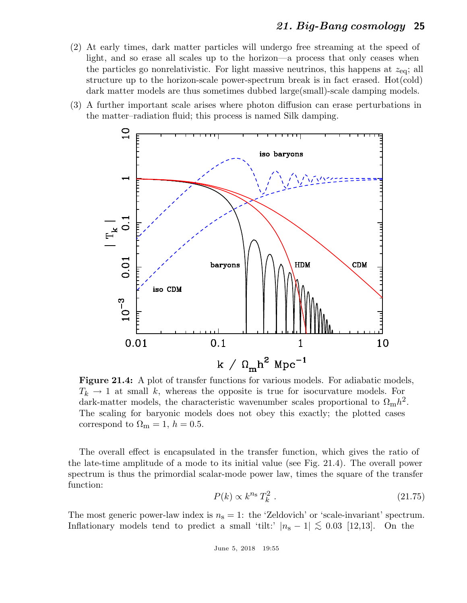- (2) At early times, dark matter particles will undergo free streaming at the speed of light, and so erase all scales up to the horizon—a process that only ceases when the particles go nonrelativistic. For light massive neutrinos, this happens at  $z_{eq}$ ; all structure up to the horizon-scale power-spectrum break is in fact erased. Hot(cold) dark matter models are thus sometimes dubbed large(small)-scale damping models.
- (3) A further important scale arises where photon diffusion can erase perturbations in the matter–radiation fluid; this process is named Silk damping.



Figure 21.4: A plot of transfer functions for various models. For adiabatic models,  $T_k \rightarrow 1$  at small k, whereas the opposite is true for isocurvature models. For dark-matter models, the characteristic wavenumber scales proportional to  $\Omega_{\rm m}h^2$ . The scaling for baryonic models does not obey this exactly; the plotted cases correspond to  $\Omega_{\rm m}=1, h=0.5$ .

The overall effect is encapsulated in the transfer function, which gives the ratio of the late-time amplitude of a mode to its initial value (see Fig. 21.4). The overall power spectrum is thus the primordial scalar-mode power law, times the square of the transfer function:

$$
P(k) \propto k^{n_{\rm s}} T_k^2 \tag{21.75}
$$

The most generic power-law index is  $n_s = 1$ : the 'Zeldovich' or 'scale-invariant' spectrum. Inflationary models tend to predict a small 'tilt:'  $|n_s - 1| \leq 0.03$  [12,13]. On the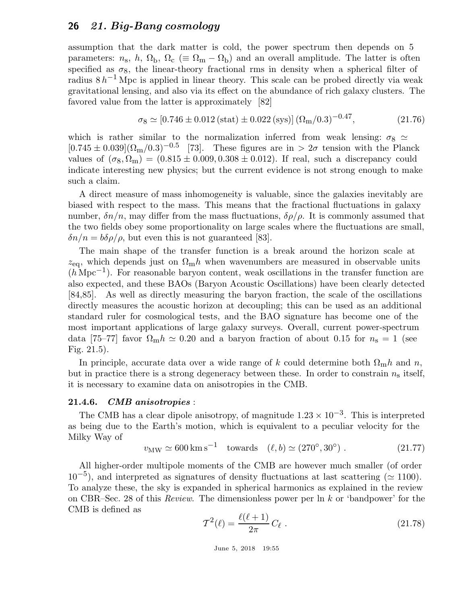assumption that the dark matter is cold, the power spectrum then depends on 5 parameters:  $n_s$ ,  $h$ ,  $\Omega_b$ ,  $\Omega_c$  ( $\equiv \Omega_m - \Omega_b$ ) and an overall amplitude. The latter is often specified as  $\sigma_8$ , the linear-theory fractional rms in density when a spherical filter of radius  $8 h^{-1}$  Mpc is applied in linear theory. This scale can be probed directly via weak gravitational lensing, and also via its effect on the abundance of rich galaxy clusters. The favored value from the latter is approximately [82]

$$
\sigma_8 \simeq [0.746 \pm 0.012 \, \text{(stat)} \pm 0.022 \, \text{(sys)}] \, (\Omega_{\text{m}}/0.3)^{-0.47}, \tag{21.76}
$$

which is rather similar to the normalization inferred from weak lensing:  $\sigma_8 \simeq$  $[0.745 \pm 0.039](\Omega_{\rm m}/0.3)^{-0.5}$  [73]. These figures are in  $> 2\sigma$  tension with the Planck values of  $(\sigma_8, \Omega_m) = (0.815 \pm 0.009, 0.308 \pm 0.012)$ . If real, such a discrepancy could indicate interesting new physics; but the current evidence is not strong enough to make such a claim.

A direct measure of mass inhomogeneity is valuable, since the galaxies inevitably are biased with respect to the mass. This means that the fractional fluctuations in galaxy number,  $\delta n/n$ , may differ from the mass fluctuations,  $\delta \rho / \rho$ . It is commonly assumed that the two fields obey some proportionality on large scales where the fluctuations are small,  $\delta n/n = b\delta\rho/\rho$ , but even this is not guaranteed [83].

The main shape of the transfer function is a break around the horizon scale at  $z_{\text{eq}}$ , which depends just on  $\Omega_{\text{m}}h$  when wavenumbers are measured in observable units  $(h\text{ Mpc}^{-1})$ . For reasonable baryon content, weak oscillations in the transfer function are also expected, and these BAOs (Baryon Acoustic Oscillations) have been clearly detected [84,85]. As well as directly measuring the baryon fraction, the scale of the oscillations directly measures the acoustic horizon at decoupling; this can be used as an additional standard ruler for cosmological tests, and the BAO signature has become one of the most important applications of large galaxy surveys. Overall, current power-spectrum data [75–77] favor  $\Omega_{\rm m}h \simeq 0.20$  and a baryon fraction of about 0.15 for  $n_{\rm s}=1$  (see Fig. 21.5).

In principle, accurate data over a wide range of k could determine both  $\Omega_{\rm m}h$  and n, but in practice there is a strong degeneracy between these. In order to constrain  $n_s$  itself, it is necessary to examine data on anisotropies in the CMB.

### 21.4.6. CMB anisotropies :

The CMB has a clear dipole anisotropy, of magnitude  $1.23 \times 10^{-3}$ . This is interpreted as being due to the Earth's motion, which is equivalent to a peculiar velocity for the Milky Way of

$$
v_{\text{MW}} \simeq 600 \,\text{km s}^{-1}
$$
 towards  $(\ell, b) \simeq (270^{\circ}, 30^{\circ})$ . (21.77)

All higher-order multipole moments of the CMB are however much smaller (of order  $10^{-5}$ ), and interpreted as signatures of density fluctuations at last scattering ( $\simeq 1100$ ). To analyze these, the sky is expanded in spherical harmonics as explained in the review on CBR–Sec. 28 of this *Review*. The dimensionless power per ln k or 'bandpower' for the CMB is defined as

$$
\mathcal{T}^2(\ell) = \frac{\ell(\ell+1)}{2\pi} C_{\ell} . \tag{21.78}
$$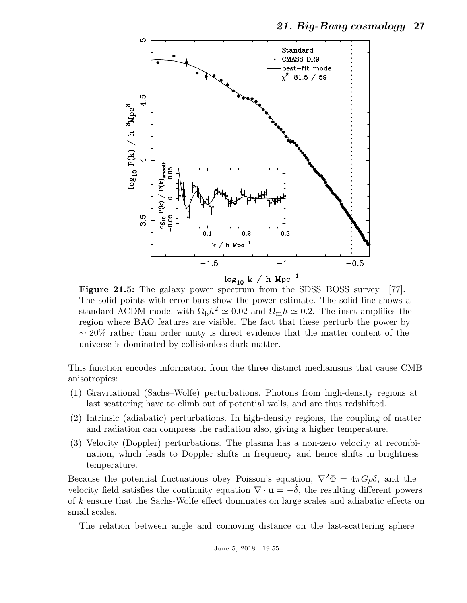

 $\log_{10}$  k / h Mpc<sup>-1</sup>

Figure 21.5: The galaxy power spectrum from the SDSS BOSS survey [77]. The solid points with error bars show the power estimate. The solid line shows a standard  $\Lambda$ CDM model with  $\Omega_{\rm b}h^2 \simeq 0.02$  and  $\Omega_{\rm m}h \simeq 0.2$ . The inset amplifies the region where BAO features are visible. The fact that these perturb the power by  $\sim 20\%$  rather than order unity is direct evidence that the matter content of the universe is dominated by collisionless dark matter.

This function encodes information from the three distinct mechanisms that cause CMB anisotropies:

- (1) Gravitational (Sachs–Wolfe) perturbations. Photons from high-density regions at last scattering have to climb out of potential wells, and are thus redshifted.
- (2) Intrinsic (adiabatic) perturbations. In high-density regions, the coupling of matter and radiation can compress the radiation also, giving a higher temperature.
- (3) Velocity (Doppler) perturbations. The plasma has a non-zero velocity at recombination, which leads to Doppler shifts in frequency and hence shifts in brightness temperature.

Because the potential fluctuations obey Poisson's equation,  $\nabla^2 \Phi = 4\pi G \rho \delta$ , and the velocity field satisfies the continuity equation  $\nabla \cdot \mathbf{u} = -\dot{\delta}$ , the resulting different powers of k ensure that the Sachs-Wolfe effect dominates on large scales and adiabatic effects on small scales.

The relation between angle and comoving distance on the last-scattering sphere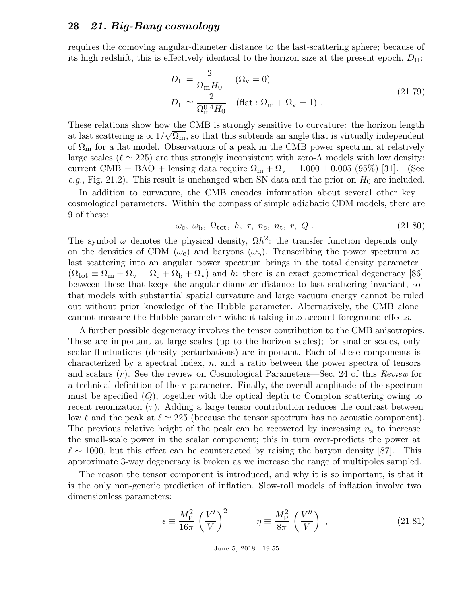requires the comoving angular-diameter distance to the last-scattering sphere; because of its high redshift, this is effectively identical to the horizon size at the present epoch,  $D_H$ :

$$
D_{\rm H} = \frac{2}{\Omega_{\rm m} H_0} \quad (\Omega_{\rm v} = 0)
$$
  
\n
$$
D_{\rm H} \simeq \frac{2}{\Omega_{\rm m}^{0.4} H_0} \quad (\text{flat}: \Omega_{\rm m} + \Omega_{\rm v} = 1) \tag{21.79}
$$

These relations show how the CMB is strongly sensitive to curvature: the horizon length at last scattering is  $\propto 1/\sqrt{\Omega_{\rm m}}$ , so that this subtends an angle that is virtually independent of  $\Omega_{\rm m}$  for a flat model. Observations of a peak in the CMB power spectrum at relatively large scales ( $\ell \approx 225$ ) are thus strongly inconsistent with zero- $\Lambda$  models with low density: current CMB + BAO + lensing data require  $\Omega_{\rm m} + \Omega_{\rm v} = 1.000 \pm 0.005$  (95%) [31]. (See *e.g.*, Fig. 21.2). This result is unchanged when SN data and the prior on  $H_0$  are included.

In addition to curvature, the CMB encodes information about several other key cosmological parameters. Within the compass of simple adiabatic CDM models, there are 9 of these:

$$
\omega_{\rm c}, \omega_{\rm b}, \Omega_{\rm tot}, \ h, \ \tau, \ n_{\rm s}, \ n_{\rm t}, \ r, \ Q \ . \tag{21.80}
$$

The symbol  $\omega$  denotes the physical density,  $\Omega h^2$ : the transfer function depends only on the densities of CDM ( $\omega_c$ ) and baryons ( $\omega_b$ ). Transcribing the power spectrum at last scattering into an angular power spectrum brings in the total density parameter  $(\Omega_{\text{tot}} \equiv \Omega_{\text{m}} + \Omega_{\text{v}} = \Omega_{\text{c}} + \Omega_{\text{b}} + \Omega_{\text{v}})$  and h: there is an exact geometrical degeneracy [86] between these that keeps the angular-diameter distance to last scattering invariant, so that models with substantial spatial curvature and large vacuum energy cannot be ruled out without prior knowledge of the Hubble parameter. Alternatively, the CMB alone cannot measure the Hubble parameter without taking into account foreground effects.

A further possible degeneracy involves the tensor contribution to the CMB anisotropies. These are important at large scales (up to the horizon scales); for smaller scales, only scalar fluctuations (density perturbations) are important. Each of these components is characterized by a spectral index,  $n$ , and a ratio between the power spectra of tensors and scalars (r). See the review on Cosmological Parameters—Sec. 24 of this *Review* for a technical definition of the  $r$  parameter. Finally, the overall amplitude of the spectrum must be specified  $(Q)$ , together with the optical depth to Compton scattering owing to recent reionization ( $\tau$ ). Adding a large tensor contribution reduces the contrast between low  $\ell$  and the peak at  $\ell \simeq 225$  (because the tensor spectrum has no acoustic component). The previous relative height of the peak can be recovered by increasing  $n_s$  to increase the small-scale power in the scalar component; this in turn over-predicts the power at  $\ell \sim 1000$ , but this effect can be counteracted by raising the baryon density [87]. This approximate 3-way degeneracy is broken as we increase the range of multipoles sampled.

The reason the tensor component is introduced, and why it is so important, is that it is the only non-generic prediction of inflation. Slow-roll models of inflation involve two dimensionless parameters:

$$
\epsilon \equiv \frac{M_{\rm P}^2}{16\pi} \left(\frac{V'}{V}\right)^2 \qquad \eta \equiv \frac{M_{\rm P}^2}{8\pi} \left(\frac{V''}{V}\right) ,\qquad (21.81)
$$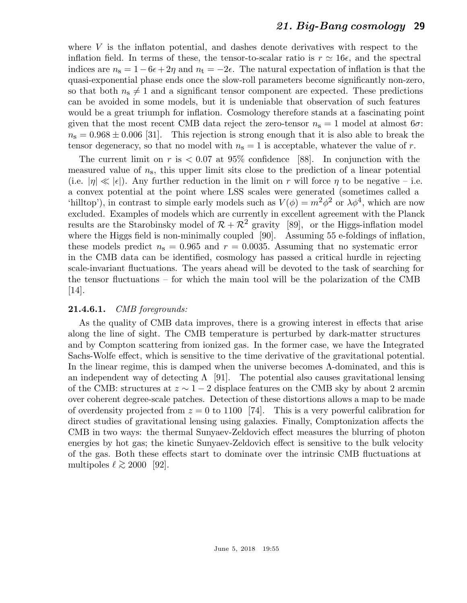where V is the inflaton potential, and dashes denote derivatives with respect to the inflation field. In terms of these, the tensor-to-scalar ratio is  $r \approx 16\epsilon$ , and the spectral indices are  $n_s = 1-6\epsilon+2\eta$  and  $n_t = -2\epsilon$ . The natural expectation of inflation is that the quasi-exponential phase ends once the slow-roll parameters become significantly non-zero, so that both  $n_s \neq 1$  and a significant tensor component are expected. These predictions can be avoided in some models, but it is undeniable that observation of such features would be a great triumph for inflation. Cosmology therefore stands at a fascinating point given that the most recent CMB data reject the zero-tensor  $n_s = 1$  model at almost  $6\sigma$ :  $n_s = 0.968 \pm 0.006$  [31]. This rejection is strong enough that it is also able to break the tensor degeneracy, so that no model with  $n_s = 1$  is acceptable, whatever the value of r.

The current limit on r is  $\langle 0.07 \text{ at } 95\% \text{ confidence} \rangle$  [88]. In conjunction with the measured value of  $n_s$ , this upper limit sits close to the prediction of a linear potential (i.e.  $|\eta| \ll |\epsilon|$ ). Any further reduction in the limit on r will force  $\eta$  to be negative – i.e. a convex potential at the point where LSS scales were generated (sometimes called a 'hilltop'), in contrast to simple early models such as  $V(\phi) = m^2 \phi^2$  or  $\lambda \phi^4$ , which are now excluded. Examples of models which are currently in excellent agreement with the Planck results are the Starobinsky model of  $\mathcal{R} + \mathcal{R}^2$  gravity [89], or the Higgs-inflation model where the Higgs field is non-minimally coupled [90]. Assuming 55 e-foldings of inflation, these models predict  $n_s = 0.965$  and  $r = 0.0035$ . Assuming that no systematic error in the CMB data can be identified, cosmology has passed a critical hurdle in rejecting scale-invariant fluctuations. The years ahead will be devoted to the task of searching for the tensor fluctuations – for which the main tool will be the polarization of the CMB [14].

## 21.4.6.1. *CMB foregrounds:*

As the quality of CMB data improves, there is a growing interest in effects that arise along the line of sight. The CMB temperature is perturbed by dark-matter structures and by Compton scattering from ionized gas. In the former case, we have the Integrated Sachs-Wolfe effect, which is sensitive to the time derivative of the gravitational potential. In the linear regime, this is damped when the universe becomes Λ-dominated, and this is an independent way of detecting  $\Lambda$  [91]. The potential also causes gravitational lensing of the CMB: structures at  $z \sim 1-2$  displace features on the CMB sky by about 2 arcmin over coherent degree-scale patches. Detection of these distortions allows a map to be made of overdensity projected from  $z = 0$  to 1100 [74]. This is a very powerful calibration for direct studies of gravitational lensing using galaxies. Finally, Comptonization affects the CMB in two ways: the thermal Sunyaev-Zeldovich effect measures the blurring of photon energies by hot gas; the kinetic Sunyaev-Zeldovich effect is sensitive to the bulk velocity of the gas. Both these effects start to dominate over the intrinsic CMB fluctuations at multipoles  $\ell \gtrsim 2000$  [92].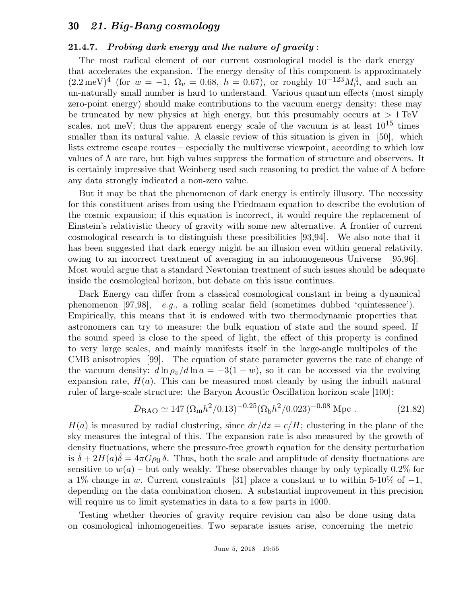### 21.4.7. Probing dark energy and the nature of gravity :

The most radical element of our current cosmological model is the dark energy that accelerates the expansion. The energy density of this component is approximately  $(2.2 \,\text{meV})^4$  (for  $w = -1$ ,  $\Omega_v = 0.68$ ,  $h = 0.67$ ), or roughly  $10^{-123} M_\text{P}^4$ , and such an un-naturally small number is hard to understand. Various quantum effects (most simply zero-point energy) should make contributions to the vacuum energy density: these may be truncated by new physics at high energy, but this presumably occurs at  $> 1 \text{ TeV}$ scales, not meV; thus the apparent energy scale of the vacuum is at least  $10^{15}$  times smaller than its natural value. A classic review of this situation is given in [50], which lists extreme escape routes – especially the multiverse viewpoint, according to which low values of  $\Lambda$  are rare, but high values suppress the formation of structure and observers. It is certainly impressive that Weinberg used such reasoning to predict the value of  $\Lambda$  before any data strongly indicated a non-zero value.

But it may be that the phenomenon of dark energy is entirely illusory. The necessity for this constituent arises from using the Friedmann equation to describe the evolution of the cosmic expansion; if this equation is incorrect, it would require the replacement of Einstein's relativistic theory of gravity with some new alternative. A frontier of current cosmological research is to distinguish these possibilities [93,94]. We also note that it has been suggested that dark energy might be an illusion even within general relativity, owing to an incorrect treatment of averaging in an inhomogeneous Universe [95,96]. Most would argue that a standard Newtonian treatment of such issues should be adequate inside the cosmological horizon, but debate on this issue continues.

Dark Energy can differ from a classical cosmological constant in being a dynamical phenomenon [97,98], *e.g.*, a rolling scalar field (sometimes dubbed 'quintessence'). Empirically, this means that it is endowed with two thermodynamic properties that astronomers can try to measure: the bulk equation of state and the sound speed. If the sound speed is close to the speed of light, the effect of this property is confined to very large scales, and mainly manifests itself in the large-angle multipoles of the CMB anisotropies [99]. The equation of state parameter governs the rate of change of the vacuum density:  $d \ln \rho_v / d \ln a = -3(1+w)$ , so it can be accessed via the evolving expansion rate,  $H(a)$ . This can be measured most cleanly by using the inbuilt natural ruler of large-scale structure: the Baryon Acoustic Oscillation horizon scale [100]:

$$
D_{\rm BAO} \simeq 147 \left(\Omega_{\rm m} h^2 / 0.13\right)^{-0.25} \left(\Omega_{\rm b} h^2 / 0.023\right)^{-0.08} \,\mathrm{Mpc} \,.
$$
 (21.82)

 $H(a)$  is measured by radial clustering, since  $dr/dz = c/H$ ; clustering in the plane of the sky measures the integral of this. The expansion rate is also measured by the growth of density fluctuations, where the pressure-free growth equation for the density perturbation is  $\ddot{\delta} + 2H(a)\dot{\delta} = 4\pi G\rho_0 \delta$ . Thus, both the scale and amplitude of density fluctuations are sensitive to  $w(a)$  – but only weakly. These observables change by only typically 0.2% for a 1% change in w. Current constraints [31] place a constant w to within 5-10% of  $-1$ , depending on the data combination chosen. A substantial improvement in this precision will require us to limit systematics in data to a few parts in 1000.

Testing whether theories of gravity require revision can also be done using data on cosmological inhomogeneities. Two separate issues arise, concerning the metric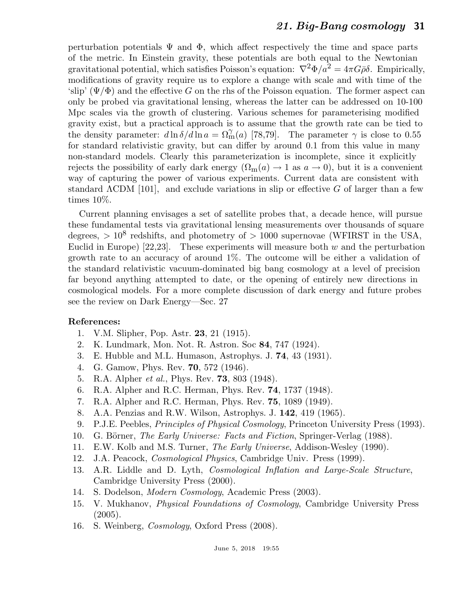perturbation potentials  $\Psi$  and  $\Phi$ , which affect respectively the time and space parts of the metric. In Einstein gravity, these potentials are both equal to the Newtonian gravitational potential, which satisfies Poisson's equation:  $\nabla^2 \Phi/a^2 = 4\pi G \bar{\rho} \delta$ . Empirically, modifications of gravity require us to explore a change with scale and with time of the 'slip'  $(\Psi/\Phi)$  and the effective G on the rhs of the Poisson equation. The former aspect can only be probed via gravitational lensing, whereas the latter can be addressed on 10-100 Mpc scales via the growth of clustering. Various schemes for parameterising modified gravity exist, but a practical approach is to assume that the growth rate can be tied to the density parameter:  $d \ln \delta / d \ln a = \Omega_{\rm m}^{\gamma}(a)$  [78,79]. The parameter  $\gamma$  is close to 0.55 for standard relativistic gravity, but can differ by around 0.1 from this value in many non-standard models. Clearly this parameterization is incomplete, since it explicitly rejects the possibility of early dark energy  $(\Omega_m(a) \to 1$  as  $a \to 0)$ , but it is a convenient way of capturing the power of various experiments. Current data are consistent with standard  $\Lambda$ CDM [101], and exclude variations in slip or effective G of larger than a few times 10%.

Current planning envisages a set of satellite probes that, a decade hence, will pursue these fundamental tests via gravitational lensing measurements over thousands of square degrees,  $> 10^8$  redshifts, and photometry of  $> 1000$  supernovae (WFIRST in the USA, Euclid in Europe) [22,23]. These experiments will measure both  $w$  and the perturbation growth rate to an accuracy of around 1%. The outcome will be either a validation of the standard relativistic vacuum-dominated big bang cosmology at a level of precision far beyond anything attempted to date, or the opening of entirely new directions in cosmological models. For a more complete discussion of dark energy and future probes see the review on Dark Energy—Sec. 27

### References:

- 1. V.M. Slipher, Pop. Astr. 23, 21 (1915).
- 2. K. Lundmark, Mon. Not. R. Astron. Soc 84, 747 (1924).
- 3. E. Hubble and M.L. Humason, Astrophys. J. 74, 43 (1931).
- 4. G. Gamow, Phys. Rev. 70, 572 (1946).
- 5. R.A. Alpher *et al.*, Phys. Rev. 73, 803 (1948).
- 6. R.A. Alpher and R.C. Herman, Phys. Rev. 74, 1737 (1948).
- 7. R.A. Alpher and R.C. Herman, Phys. Rev. 75, 1089 (1949).
- 8. A.A. Penzias and R.W. Wilson, Astrophys. J. 142, 419 (1965).
- 9. P.J.E. Peebles, *Principles of Physical Cosmology*, Princeton University Press (1993).
- 10. G. Börner, *The Early Universe: Facts and Fiction*, Springer-Verlag (1988).
- 11. E.W. Kolb and M.S. Turner, *The Early Universe*, Addison-Wesley (1990).
- 12. J.A. Peacock, *Cosmological Physics*, Cambridge Univ. Press (1999).
- 13. A.R. Liddle and D. Lyth, *Cosmological Inflation and Large-Scale Structure*, Cambridge University Press (2000).
- 14. S. Dodelson, *Modern Cosmology*, Academic Press (2003).
- 15. V. Mukhanov, *Physical Foundations of Cosmology*, Cambridge University Press (2005).
- 16. S. Weinberg, *Cosmology*, Oxford Press (2008).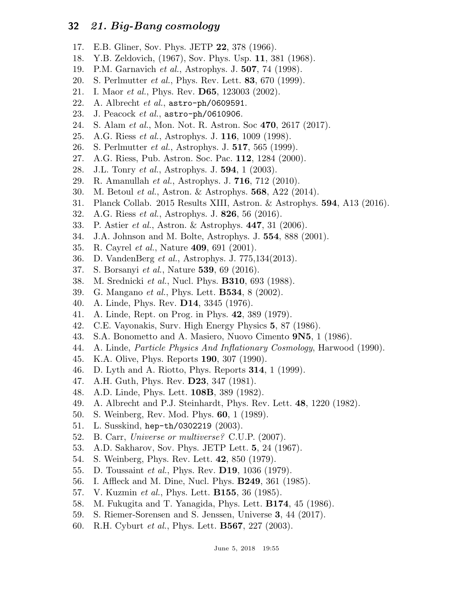- 17. E.B. Gliner, Sov. Phys. JETP 22, 378 (1966).
- 18. Y.B. Zeldovich, (1967), Sov. Phys. Usp. 11, 381 (1968).
- 19. P.M. Garnavich *et al.*, Astrophys. J. 507, 74 (1998).
- 20. S. Perlmutter *et al.*, Phys. Rev. Lett. 83, 670 (1999).
- 21. I. Maor *et al.*, Phys. Rev. D65, 123003 (2002).
- 22. A. Albrecht *et al.*, astro-ph/0609591.
- 23. J. Peacock *et al.*, astro-ph/0610906.
- 24. S. Alam *et al.*, Mon. Not. R. Astron. Soc 470, 2617 (2017).
- 25. A.G. Riess *et al.*, Astrophys. J. 116, 1009 (1998).
- 26. S. Perlmutter *et al.*, Astrophys. J. 517, 565 (1999).
- 27. A.G. Riess, Pub. Astron. Soc. Pac. 112, 1284 (2000).
- 28. J.L. Tonry *et al.*, Astrophys. J. 594, 1 (2003).
- 29. R. Amanullah *et al.*, Astrophys. J. 716, 712 (2010).
- 30. M. Betoul *et al.*, Astron. & Astrophys. 568, A22 (2014).
- 31. Planck Collab. 2015 Results XIII, Astron. & Astrophys. 594, A13 (2016).
- 32. A.G. Riess *et al.*, Astrophys. J. 826, 56 (2016).
- 33. P. Astier *et al.*, Astron. & Astrophys. 447, 31 (2006).
- 34. J.A. Johnson and M. Bolte, Astrophys. J. 554, 888 (2001).
- 35. R. Cayrel *et al.*, Nature 409, 691 (2001).
- 36. D. VandenBerg *et al.*, Astrophys. J. 775,134(2013).
- 37. S. Borsanyi *et al.*, Nature 539, 69 (2016).
- 38. M. Srednicki *et al.*, Nucl. Phys. B310, 693 (1988).
- 39. G. Mangano *et al.*, Phys. Lett. B534, 8 (2002).
- 40. A. Linde, Phys. Rev. D14, 3345 (1976).
- 41. A. Linde, Rept. on Prog. in Phys. 42, 389 (1979).
- 42. C.E. Vayonakis, Surv. High Energy Physics 5, 87 (1986).
- 43. S.A. Bonometto and A. Masiero, Nuovo Cimento 9N5, 1 (1986).
- 44. A. Linde, *Particle Physics And Inflationary Cosmology*, Harwood (1990).
- 45. K.A. Olive, Phys. Reports 190, 307 (1990).
- 46. D. Lyth and A. Riotto, Phys. Reports 314, 1 (1999).
- 47. A.H. Guth, Phys. Rev. D23, 347 (1981).
- 48. A.D. Linde, Phys. Lett. 108B, 389 (1982).
- 49. A. Albrecht and P.J. Steinhardt, Phys. Rev. Lett. 48, 1220 (1982).
- 50. S. Weinberg, Rev. Mod. Phys. 60, 1 (1989).
- 51. L. Susskind, hep-th/0302219 (2003).
- 52. B. Carr, *Universe or multiverse?* C.U.P. (2007).
- 53. A.D. Sakharov, Sov. Phys. JETP Lett. 5, 24 (1967).
- 54. S. Weinberg, Phys. Rev. Lett. 42, 850 (1979).
- 55. D. Toussaint *et al.*, Phys. Rev. D19, 1036 (1979).
- 56. I. Affleck and M. Dine, Nucl. Phys. B249, 361 (1985).
- 57. V. Kuzmin *et al.*, Phys. Lett. B155, 36 (1985).
- 58. M. Fukugita and T. Yanagida, Phys. Lett. B174, 45 (1986).
- 59. S. Riemer-Sorensen and S. Jenssen, Universe 3, 44 (2017).
- 60. R.H. Cyburt *et al.*, Phys. Lett. B567, 227 (2003).